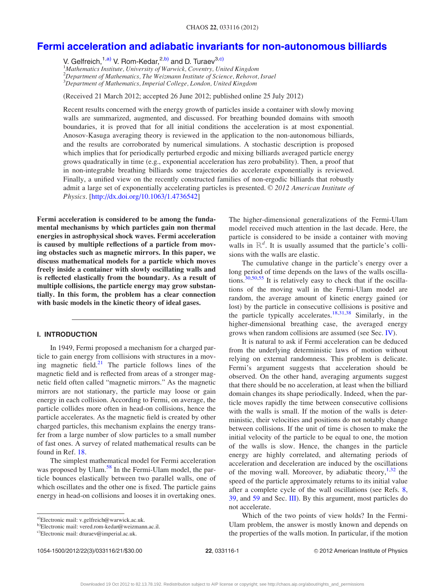# [Fermi acceleration and adiabatic invariants for non-autonomous billiards](http://dx.doi.org/10.1063/1.4736542)

V. Gelfreich,<sup>1,[a\)](#page--1-0)</sup> V. Rom-Kedar,<sup>2,[b\)](#page--1-0)</sup> and D. Turaev<sup>3,[c\)](#page--1-0)</sup>

<sup>1</sup>Mathematics Institute, University of Warwick, Coventry, United Kingdom <sup>2</sup>Department of Mathematics, The Weizmann Institute of Science, Rehovot, Israel <sup>3</sup>Department of Mathematics, Imperial College, London, United Kingdom

(Received 21 March 2012; accepted 26 June 2012; published online 25 July 2012)

Recent results concerned with the energy growth of particles inside a container with slowly moving walls are summarized, augmented, and discussed. For breathing bounded domains with smooth boundaries, it is proved that for all initial conditions the acceleration is at most exponential. Anosov-Kasuga averaging theory is reviewed in the application to the non-autonomous billiards, and the results are corroborated by numerical simulations. A stochastic description is proposed which implies that for periodically perturbed ergodic and mixing billiards averaged particle energy grows quadratically in time (e.g., exponential acceleration has zero probability). Then, a proof that in non-integrable breathing billiards some trajectories do accelerate exponentially is reviewed. Finally, a unified view on the recently constructed families of non-ergodic billiards that robustly admit a large set of exponentially accelerating particles is presented.  $\odot$  2012 American Institute of Physics. [\[http://dx.doi.org/10.1063/1.4736542\]](http://dx.doi.org/10.1063/1.4736542)

Fermi acceleration is considered to be among the fundamental mechanisms by which particles gain non thermal energies in astrophysical shock waves. Fermi acceleration is caused by multiple reflections of a particle from moving obstacles such as magnetic mirrors. In this paper, we discuss mathematical models for a particle which moves freely inside a container with slowly oscillating walls and is reflected elastically from the boundary. As a result of multiple collisions, the particle energy may grow substantially. In this form, the problem has a clear connection with basic models in the kinetic theory of ideal gases.

# I. INTRODUCTION

In 1949, Fermi proposed a mechanism for a charged particle to gain energy from collisions with structures in a moving magnetic field. $21$  The particle follows lines of the magnetic field and is reflected from areas of a stronger magnetic field often called "magnetic mirrors." As the magnetic mirrors are not stationary, the particle may loose or gain energy in each collision. According to Fermi, on average, the particle collides more often in head-on collisions, hence the particle accelerates. As the magnetic field is created by other charged particles, this mechanism explains the energy transfer from a large number of slow particles to a small number of fast ones. A survey of related mathematical results can be found in Ref. [18.](#page--1-0)

The simplest mathematical model for Fermi acceleration was proposed by Ulam.<sup>[58](#page--1-0)</sup> In the Fermi-Ulam model, the particle bounces elastically between two parallel walls, one of which oscillates and the other one is fixed. The particle gains energy in head-on collisions and looses it in overtaking ones.

1054-1500/2012/22(3)/033116/21/\$30.00 22, 033116-1 © 2012 American Institute of Physics

The higher-dimensional generalizations of the Fermi-Ulam model received much attention in the last decade. Here, the particle is considered to be inside a container with moving walls in  $\mathbb{R}^d$ . It is usually assumed that the particle's collisions with the walls are elastic.

The cumulative change in the particle's energy over a long period of time depends on the laws of the walls oscillations. $30,50,55$  It is relatively easy to check that if the oscillations of the moving wall in the Fermi-Ulam model are random, the average amount of kinetic energy gained (or lost) by the particle in consecutive collisions is positive and the particle typically accelerates.[18,31,38](#page--1-0) Similarly, in the higher-dimensional breathing case, the averaged energy grows when random collisions are assumed (see Sec. [IV\)](#page--1-0).

It is natural to ask if Fermi acceleration can be deduced from the underlying deterministic laws of motion without relying on external randomness. This problem is delicate. Fermi's argument suggests that acceleration should be observed. On the other hand, averaging arguments suggest that there should be no acceleration, at least when the billiard domain changes its shape periodically. Indeed, when the particle moves rapidly the time between consecutive collisions with the walls is small. If the motion of the walls is deterministic, their velocities and positions do not notably change between collisions. If the unit of time is chosen to make the initial velocity of the particle to be equal to one, the motion of the walls is slow. Hence, the changes in the particle energy are highly correlated, and alternating periods of acceleration and deceleration are induced by the oscillations of the moving wall. Moreover, by adiabatic theory, $1,32$  the speed of the particle approximately returns to its initial value after a complete cycle of the wall oscillations (see Refs. [8](#page--1-0), [39](#page--1-0), and [59](#page--1-0) and Sec. [III\)](#page--1-0). By this argument, most particles do not accelerate.

Which of the two points of view holds? In the Fermi-Ulam problem, the answer is mostly known and depends on the properties of the walls motion. In particular, if the motion

a)Electronic mail: v.gelfreich@warwick.ac.uk.

b)Electronic mail: vered.rom-kedar@weizmann.ac.il.

c)Electronic mail: dturaev@imperial.ac.uk.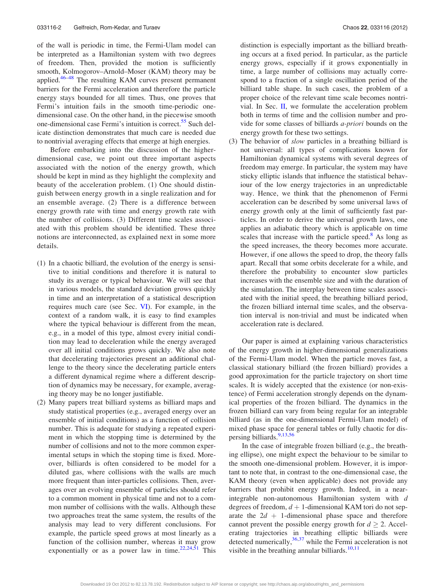of the wall is periodic in time, the Fermi-Ulam model can be interpreted as a Hamiltonian system with two degrees of freedom. Then, provided the motion is sufficiently smooth, Kolmogorov–Arnold–Moser (KAM) theory may be applied. $46-48$  The resulting KAM curves present permanent barriers for the Fermi acceleration and therefore the particle energy stays bounded for all times. Thus, one proves that Fermi's intuition fails in the smooth time-periodic onedimensional case. On the other hand, in the piecewise smooth one-dimensional case Fermi's intuition is correct.<sup>55</sup> Such delicate distinction demonstrates that much care is needed due to nontrivial averaging effects that emerge at high energies.

Before embarking into the discussion of the higherdimensional case, we point out three important aspects associated with the notion of the energy growth, which should be kept in mind as they highlight the complexity and beauty of the acceleration problem. (1) One should distinguish between energy growth in a single realization and for an ensemble average. (2) There is a difference between energy growth rate with time and energy growth rate with the number of collisions. (3) Different time scales associated with this problem should be identified. These three notions are interconnected, as explained next in some more details.

- (1) In a chaotic billiard, the evolution of the energy is sensitive to initial conditions and therefore it is natural to study its average or typical behaviour. We will see that in various models, the standard deviation grows quickly in time and an interpretation of a statistical description requires much care (see Sec. [VI](#page--1-0)). For example, in the context of a random walk, it is easy to find examples where the typical behaviour is different from the mean, e.g., in a model of this type, almost every initial condition may lead to deceleration while the energy averaged over all initial conditions grows quickly. We also note that decelerating trajectories present an additional challenge to the theory since the decelerating particle enters a different dynamical regime where a different description of dynamics may be necessary, for example, averaging theory may be no longer justifiable.
- (2) Many papers treat billiard systems as billiard maps and study statistical properties (e.g., averaged energy over an ensemble of initial conditions) as a function of collision number. This is adequate for studying a repeated experiment in which the stopping time is determined by the number of collisions and not to the more common experimental setups in which the stoping time is fixed. Moreover, billiards is often considered to be model for a diluted gas, where collisions with the walls are much more frequent than inter-particles collisions. Then, averages over an evolving ensemble of particles should refer to a common moment in physical time and not to a common number of collisions with the walls. Although these two approaches treat the same system, the results of the analysis may lead to very different conclusions. For example, the particle speed grows at most linearly as a function of the collision number, whereas it may grow exponentially or as a power law in time.<sup>[22](#page--1-0),[24,51](#page--1-0)</sup> This

distinction is especially important as the billiard breathing occurs at a fixed period. In particular, as the particle energy grows, especially if it grows exponentially in time, a large number of collisions may actually correspond to a fraction of a single oscillation period of the billiard table shape. In such cases, the problem of a proper choice of the relevant time scale becomes nontrivial. In Sec.  $II$ , we formulate the acceleration problem both in terms of time and the collision number and provide for some classes of billiards a-priori bounds on the energy growth for these two settings.

(3) The behavior of slow particles in a breathing billiard is not universal: all types of complications known for Hamiltonian dynamical systems with several degrees of freedom may emerge. In particular, the system may have sticky elliptic islands that influence the statistical behaviour of the low energy trajectories in an unpredictable way. Hence, we think that the phenomenon of Fermi acceleration can be described by some universal laws of energy growth only at the limit of sufficiently fast particles. In order to derive the universal growth laws, one applies an adiabatic theory which is applicable on time scales that increase with the particle speed. $8$  As long as the speed increases, the theory becomes more accurate. However, if one allows the speed to drop, the theory falls apart. Recall that some orbits decelerate for a while, and therefore the probability to encounter slow particles increases with the ensemble size and with the duration of the simulation. The interplay between time scales associated with the initial speed, the breathing billiard period, the frozen billiard internal time scales, and the observation interval is non-trivial and must be indicated when acceleration rate is declared.

Our paper is aimed at explaining various characteristics of the energy growth in higher-dimensional generalizations of the Fermi-Ulam model. When the particle moves fast, a classical stationary billiard (the frozen billiard) provides a good approximation for the particle trajectory on short time scales. It is widely accepted that the existence (or non-existence) of Fermi acceleration strongly depends on the dynamical properties of the frozen billiard. The dynamics in the frozen billiard can vary from being regular for an integrable billiard (as in the one-dimensional Fermi-Ulam model) of mixed phase space for general tables or fully chaotic for dis-persing billiards.<sup>[9,13,56](#page--1-0)</sup>

In the case of integrable frozen billiard (e.g., the breathing ellipse), one might expect the behaviour to be similar to the smooth one-dimensional problem. However, it is important to note that, in contrast to the one-dimensional case, the KAM theory (even when applicable) does not provide any barriers that prohibit energy growth. Indeed, in a nearintegrable non-autonomous Hamiltonian system with d degrees of freedom,  $d + 1$ -dimensional KAM tori do not separate the  $2d + 1$ -dimensional phase space and therefore cannot prevent the possible energy growth for  $d \ge 2$ . Accelerating trajectories in breathing elliptic billiards were detected numerically,  $36,37$  while the Fermi acceleration is not visible in the breathing annular billiards. $10,11$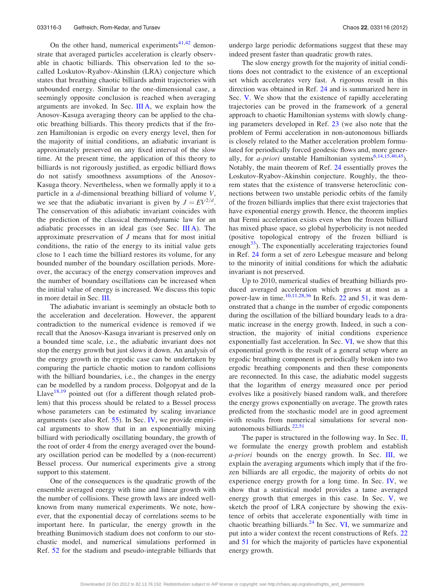On the other hand, numerical experiments $41,42$  demonstrate that averaged particles acceleration is clearly observable in chaotic billiards. This observation led to the socalled Loskutov-Ryabov-Akinshin (LRA) conjecture which states that breathing chaotic billiards admit trajectories with unbounded energy. Similar to the one-dimensional case, a seemingly opposite conclusion is reached when averaging arguments are invoked. In Sec. [III A](#page--1-0), we explain how the Anosov-Kasuga averaging theory can be applied to the chaotic breathing billiards. This theory predicts that if the frozen Hamiltonian is ergodic on every energy level, then for the majority of initial conditions, an adiabatic invariant is approximately preserved on any fixed interval of the slow time. At the present time, the application of this theory to billiards is not rigorously justified, as ergodic billiard flows do not satisfy smoothness assumptions of the Anosov-Kasuga theory. Nevertheless, when we formally apply it to a particle in a d-dimensional breathing billiard of volume V, we see that the adiabatic invariant is given by  $J = EV^{2/d}$ . The conservation of this adiabatic invariant coincides with the prediction of the classical thermodynamic law for an adiabatic processes in an ideal gas (see Sec. [III A](#page--1-0)). The approximate preservation of  $J$  means that for most initial conditions, the ratio of the energy to its initial value gets close to 1 each time the billiard restores its volume, for any bounded number of the boundary oscillation periods. Moreover, the accuracy of the energy conservation improves and the number of boundary oscillations can be increased when the initial value of energy is increased. We discuss this topic in more detail in Sec. [III](#page--1-0).

The adiabatic invariant is seemingly an obstacle both to the acceleration and deceleration. However, the apparent contradiction to the numerical evidence is removed if we recall that the Anosov-Kasuga invariant is preserved only on a bounded time scale, i.e., the adiabatic invariant does not stop the energy growth but just slows it down. An analysis of the energy growth in the ergodic case can be undertaken by comparing the particle chaotic motion to random collisions with the billiard boundaries, i.e., the changes in the energy can be modelled by a random process. Dolgopyat and de la Llave $18,19$  pointed out (for a different though related problem) that this process should be related to a Bessel process whose parameters can be estimated by scaling invariance arguments (see also Ref. [55\)](#page--1-0). In Sec. [IV,](#page--1-0) we provide empirical arguments to show that in an exponentially mixing billiard with periodically oscillating boundary, the growth of the root of order 4 from the energy averaged over the boundary oscillation period can be modelled by a (non-recurrent) Bessel process. Our numerical experiments give a strong support to this statement.

One of the consequences is the quadratic growth of the ensemble averaged energy with time and linear growth with the number of collisions. These growth laws are indeed wellknown from many numerical experiments. We note, however, that the exponential decay of correlations seems to be important here. In particular, the energy growth in the breathing Bunimovich stadium does not conform to our stochastic model, and numerical simulations performed in Ref. [52](#page--1-0) for the stadium and pseudo-integrable billiards that undergo large periodic deformations suggest that these may indeed present faster than quadratic growth rates.

The slow energy growth for the majority of initial conditions does not contradict to the existence of an exceptional set which accelerates very fast. A rigorous result in this direction was obtained in Ref. [24](#page--1-0) and is summarized here in Sec. [V.](#page--1-0) We show that the existence of rapidly accelerating trajectories can be proved in the framework of a general approach to chaotic Hamiltonian systems with slowly changing parameters developed in Ref. [23](#page--1-0) (we also note that the problem of Fermi acceleration in non-autonomous billiards is closely related to the Mather acceleration problem formulated for periodically forced geodesic flows and, more generally, for *a-priori* unstable Hamiltonian systems<sup>[6,14](#page--1-0),[15,40,45](#page--1-0)</sup>). Notably, the main theorem of Ref. [24](#page--1-0) essentially proves the Loskutov-Ryabov-Akinshin conjecture. Roughly, the theorem states that the existence of transverse heteroclinic connections between two unstable periodic orbits of the family of the frozen billiards implies that there exist trajectories that have exponential energy growth. Hence, the theorem implies that Fermi acceleration exists even when the frozen billiard has mixed phase space, so global hyperbolicity is not needed (positive topological entropy of the frozen billiard is enough $^{33}$  $^{33}$  $^{33}$ ). The exponentially accelerating trajectories found in Ref. [24](#page--1-0) form a set of zero Lebesgue measure and belong to the minority of initial conditions for which the adiabatic invariant is not preserved.

Up to 2010, numerical studies of breathing billiards produced averaged acceleration which grows at most as a power-law in time.<sup>[10,11,28,36](#page--1-0)</sup> In Refs. [22](#page--1-0) and [51](#page--1-0), it was demonstrated that a change in the number of ergodic components during the oscillation of the billiard boundary leads to a dramatic increase in the energy growth. Indeed, in such a construction, the majority of initial conditions experience exponentially fast acceleration. In Sec. [VI](#page--1-0), we show that this exponential growth is the result of a general setup where an ergodic breathing component is periodically broken into two ergodic breathing components and then these components are reconnected. In this case, the adiabatic model suggests that the logarithm of energy measured once per period evolves like a positively biased random walk, and therefore the energy grows exponentially on average. The growth rates predicted from the stochastic model are in good agreement with results from numerical simulations for several nonautonomous billiards. $22,51$ 

The paper is structured in the following way. In Sec. [II](#page--1-0), we formulate the energy growth problem and establish a-priori bounds on the energy growth. In Sec. [III,](#page--1-0) we explain the averaging arguments which imply that if the frozen billiards are all ergodic, the majority of orbits do not experience energy growth for a long time. In Sec. [IV,](#page--1-0) we show that a statistical model provides a tame averaged energy growth that emerges in this case. In Sec. [V,](#page--1-0) we sketch the proof of LRA conjecture by showing the existence of orbits that accelerate exponentially with time in chaotic breathing billiards. $^{24}$  $^{24}$  $^{24}$  In Sec. [VI](#page--1-0), we summarize and put into a wider context the recent constructions of Refs. [22](#page--1-0) and [51](#page--1-0) for which the majority of particles have exponential energy growth.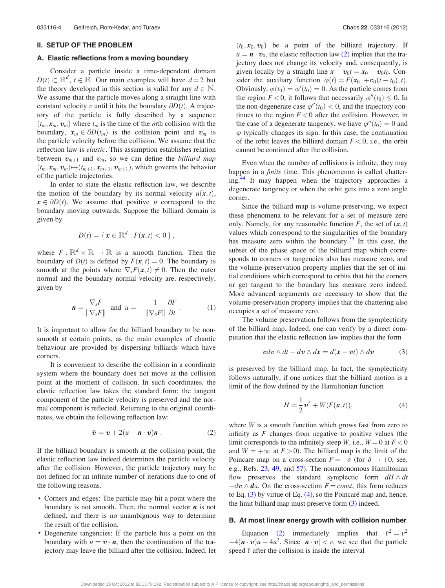# II. SETUP OF THE PROBLEM

# A. Elastic reflections from a moving boundary

Consider a particle inside a time-dependent domain  $D(t) \subset \mathbb{R}^d$ ,  $t \in \mathbb{R}$ . Our main examples will have  $d = 2$  but the theory developed in this section is valid for any  $d \in \mathbb{N}$ . We assume that the particle moves along a straight line with constant velocity v until it hits the boundary  $\partial D(t)$ . A trajectory of the particle is fully described by a sequence  $(t_m, x_m, v_m)$  where  $t_m$  is the time of the *mth* collision with the boundary,  $x_m \in \partial D(t_m)$  is the collision point and  $v_m$  is the particle velocity before the collision. We assume that the reflection law is elastic. This assumption establishes relation between  $v_{m+1}$  and  $v_m$ , so we can define the *billiard map*  $(t_m, x_m, v_m) \mapsto (t_{m+1}, x_{m+1}, v_{m+1})$ , which governs the behavior of the particle trajectories.

In order to state the elastic reflection law, we describe the motion of the boundary by its normal velocity  $u(\mathbf{x}, t)$ ,  $x \in \partial D(t)$ . We assume that positive u correspond to the boundary moving outwards. Suppose the billiard domain is given by

$$
D(t) = \{ \mathbf{x} \in \mathbb{R}^d : F(\mathbf{x}, t) < 0 \},
$$

where  $F: \mathbb{R}^d \times \mathbb{R} \to \mathbb{R}$  is a smooth function. Then the boundary of  $D(t)$  is defined by  $F(x, t) = 0$ . The boundary is smooth at the points where  $\nabla_x F(x, t) \neq 0$ . Then the outer normal and the boundary normal velocity are, respectively, given by

$$
\mathbf{n} = \frac{\nabla_x F}{\|\nabla_x F\|} \text{ and } u = -\frac{1}{\|\nabla_x F\|} \frac{\partial F}{\partial t} \,. \tag{1}
$$

It is important to allow for the billiard boundary to be nonsmooth at certain points, as the main examples of chaotic behaviour are provided by dispersing billiards which have corners.

It is convenient to describe the collision in a coordinate system where the boundary does not move at the collision point at the moment of collision. In such coordinates, the elastic reflection law takes the standard form: the tangent component of the particle velocity is preserved and the normal component is reflected. Returning to the original coordinates, we obtain the following reflection law:

$$
\bar{v} = v + 2(u - \mathbf{n} \cdot v)\mathbf{n} \,. \tag{2}
$$

If the billiard boundary is smooth at the collision point, the elastic reflection law indeed determines the particle velocity after the collision. However, the particle trajectory may be not defined for an infinite number of iterations due to one of the following reasons.

- Corners and edges: The particle may hit a point where the boundary is not smooth. Then, the normal vector  $\boldsymbol{n}$  is not defined, and there is no unambiguous way to determine the result of the collision.
- Degenerate tangencies: If the particle hits a point on the boundary with  $u = v \cdot n$ , then the continuation of the trajectory may leave the billiard after the collision. Indeed, let

 $(t_0, x_0, v_0)$  be a point of the billiard trajectory. If  $u = \mathbf{n} \cdot \mathbf{v}_0$ , the elastic reflection law [\(2\)](#page--1-0) implies that the trajectory does not change its velocity and, consequently, is given locally by a straight line  $x - v_0t = x_0 - v_0t_0$ . Consider the auxiliary function  $\varphi(t) = F(x_0 + v_0(t - t_0), t)$ . Obviously,  $\varphi(t_0) = \varphi'(t_0) = 0$ . As the particle comes from the region  $F < 0$ , it follows that necessarily  $\varphi''(t_0) \leq 0$ . In the non-degenerate case  $\varphi''(t_0) < 0$ , and the trajectory continues to the region  $F < 0$  after the collision. However, in the case of a degenerate tangency, we have  $\varphi''(t_0) = 0$  and  $\varphi$  typically changes its sign. In this case, the continuation of the orbit leaves the billiard domain  $F < 0$ , i.e., the orbit cannot be continued after the collision.

Even when the number of collisions is infinite, they may happen in a *finite* time. This phenomenon is called chattering.[44](#page--1-0) It may happen when the trajectory approaches a degenerate tangency or when the orbit gets into a zero angle corner.

Since the billiard map is volume-preserving, we expect these phenomena to be relevant for a set of measure zero only. Namely, for any reasonable function  $F$ , the set of  $(x, t)$ values which correspond to the singularities of the boundary has measure zero within the boundary. $33$  In this case, the subset of the phase space of the billiard map which corresponds to corners or tangencies also has measure zero, and the volume-preservation property implies that the set of initial conditions which correspond to orbits that hit the corners or get tangent to the boundary has measure zero indeed. More advanced arguments are necessary to show that the volume-preservation property implies that the chattering also occupies a set of measure zero.

The volume preservation follows from the symplecticity of the billiard map. Indeed, one can verify by a direct computation that the elastic reflection law implies that the form

$$
v dv \wedge dt - dv \wedge dx = d(x - vt) \wedge dv \qquad (3)
$$

is preserved by the billiard map. In fact, the symplecticity follows naturally, if one notices that the billiard motion is a limit of the flow defined by the Hamiltonian function

$$
H = \frac{1}{2}v^2 + W(F(x, t)),
$$
\n(4)

where  $W$  is a smooth function which grows fast from zero to infinity as  $F$  changes from negative to positive values (the limit corresponds to the infinitely steep W, i.e.,  $W = 0$  at  $F < 0$ and  $W = +\infty$  at  $F > 0$ ). The billiard map is the limit of the Poincare map on a cross-section  $F = -\delta$  (for  $\delta \rightarrow +0$ , see, e.g., Refs. [23,](#page--1-0) [49](#page--1-0), and [57\)](#page--1-0). The nonautonomous Hamiltonian flow preserves the standard symplectic form  $dH \wedge dt$  $-dv \wedge dx$ . On the cross-section  $F = const$ , this form reduces to Eq.  $(3)$  by virtue of Eq.  $(4)$ , so the Poincaré map and, hence, the limit billiard map must preserve form [\(3\)](#page--1-0) indeed.

## B. At most linear energy growth with collision number

Equation [\(2\)](#page--1-0) immediately implies that  $\bar{v}^2 = v^2$  $-4(n \cdot v)u + 4u^2$ . Since  $|n \cdot v| < v$ , we see that the particle speed  $\bar{v}$  after the collision is inside the interval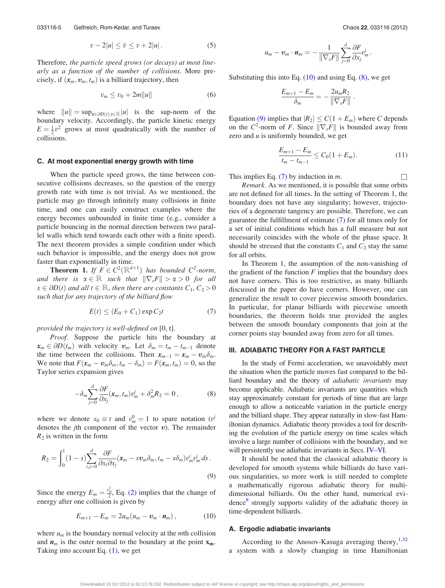$$
v - 2|u| \le \overline{v} \le v + 2|u| \,. \tag{5}
$$

Therefore, the particle speed grows (or decays) at most linearly as a function of the number of collisions. More precisely, if  $(x_m, v_m, t_m)$  is a billiard trajectory, then

$$
v_m \le v_0 + 2m||u|| \tag{6}
$$

where  $||u|| = \sup_{x \in \partial D(t), t \in \mathbb{R}} |u|$  is the sup-norm of the boundary velocity. Accordingly, the particle kinetic energy  $E = \frac{1}{2}v^2$  grows at most quadratically with the number of collisions.

## C. At most exponential energy growth with time

When the particle speed grows, the time between consecutive collisions decreases, so the question of the energy growth rate with time is not trivial. As we mentioned, the particle may go through infinitely many collisions in finite time, and one can easily construct examples where the energy becomes unbounded in finite time (e.g., consider a particle bouncing in the normal direction between two parallel walls which tend towards each other with a finite speed). The next theorem provides a simple condition under which such behavior is impossible, and the energy does not grow faster than exponentially in time.

**Theorem 1.** If  $F \in C^2(\mathbb{R}^{d+1})$  has bounded  $C^2$ -norm, and there is  $\alpha \in \mathbb{R}$  such that  $\|\nabla_x F\| > \alpha > 0$  for all  $x \in \partial D(t)$  and all  $t \in \mathbb{R}$ , then there are constants  $C_1, C_2 > 0$ such that for any trajectory of the billiard flow

$$
E(t) \le (E_0 + C_1) \exp C_2 t \tag{7}
$$

provided the trajectory is well-defined on [0, t].

Proof. Suppose the particle hits the boundary at  $x_m \in \partial D(t_m)$  with velocity  $v_m$ . Let  $\delta_m = t_m - t_{m-1}$  denote the time between the collisions. Then  $x_{m-1} = x_m - v_m \delta_m$ . We note that  $F(\mathbf{x}_m - \mathbf{v}_m \delta_m, t_m - \delta_m) = F(\mathbf{x}_m, t_m) = 0$ , so the Taylor series expansion gives

$$
-\delta_m \sum_{j=0}^d \frac{\partial F}{\partial x_j}(\mathbf{x}_m, t_m) v_m^j + \delta_m^2 R_2 = 0, \qquad (8)
$$

where we denote  $x_0 \equiv t$  and  $v_m^0 = 1$  to spare notation  $(v^j)$ denotes the jth component of the vector  $v$ ). The remainder  $R_2$  is written in the form

$$
R_2 = \int_0^1 (1 - s) \sum_{i,j=0}^d \frac{\partial F}{\partial x_i \partial x_j} (x_m - s v_m \delta_m, t_m - s \delta_m) v_m^i v_m^j ds.
$$
\n(9)

Since the energy  $E_m = \frac{v_m^2}{2}$ , Eq. [\(2\)](#page--1-0) implies that the change of energy after one collision is given by

$$
E_{m+1}-E_m=2u_m(u_m-v_m\cdot n_m), \qquad (10)
$$

where  $u_m$  is the boundary normal velocity at the *mth* collision and  $n_m$  is the outer normal to the boundary at the point  $x_m$ . Taking into account Eq.  $(1)$ , we get

$$
u_m - v_m \cdot \mathbf{n}_m = -\frac{1}{\|\nabla_x F\|} \sum_{j=0}^d \frac{\partial F}{\partial x_j} v_m^j.
$$

Substituting this into Eq.  $(10)$  and using Eq.  $(8)$ , we get

$$
\frac{E_{m+1}-E_m}{\delta_m}=-\frac{2u_mR_2}{\|\nabla_x F\|}.
$$

Equation [\(9\)](#page--1-0) implies that  $|R_2| \leq C(1 + E_m)$  where C depends on the  $C^2$ -norm of F. Since  $\|\nabla_x F\|$  is bounded away from zero and  $u$  is uniformly bounded, we get

$$
\frac{E_{m+1} - E_m}{t_m - t_{m-1}} \le C_0 (1 + E_m). \tag{11}
$$

This implies Eq.  $(7)$  by induction in *m*.

Remark. As we mentioned, it is possible that some orbits are not defined for all times. In the setting of Theorem 1, the boundary does not have any singularity; however, trajectories of a degenerate tangency are possible. Therefore, we can guarantee the fulfillment of estimate [\(7\)](#page--1-0) for all times only for a set of initial conditions which has a full measure but not necessarily coincides with the whole of the phase space. It should be stressed that the constants  $C_1$  and  $C_2$  stay the same for all orbits.

In Theorem 1, the assumption of the non-vanishing of the gradient of the function  $F$  implies that the boundary does not have corners. This is too restrictive, as many billiards discussed in the paper do have corners. However, one can generalize the result to cover piecewise smooth boundaries. In particular, for planar billiards with piecewise smooth boundaries, the theorem holds true provided the angles between the smooth boundary components that join at the corner points stay bounded away from zero for all times.

## III. ADIABATIC THEORY FOR A FAST PARTICLE

In the study of Fermi acceleration, we unavoidably meet the situation when the particle moves fast compared to the billiard boundary and the theory of adiabatic invariants may become applicable. Adiabatic invariants are quantities which stay approximately constant for periods of time that are large enough to allow a noticeable variation in the particle energy and the billiard shape. They appear naturally in slow-fast Hamiltonian dynamics. Adiabatic theory provides a tool for describing the evolution of the particle energy on time scales which involve a large number of collisions with the boundary, and we will persistently use adiabatic invariants in Secs. [IV–VI.](#page--1-0)

It should be noted that the classical adiabatic theory is developed for smooth systems while billiards do have various singularities, so more work is still needed to complete a mathematically rigorous adiabatic theory for multidimensional billiards. On the other hand, numerical evi-dence<sup>[8](#page--1-0)</sup> strongly supports validity of the adiabatic theory in time-dependent billiards.

## A. Ergodic adiabatic invariants

According to the Anosov-Kasuga averaging theory, $1,32$ a system with a slowly changing in time Hamiltonian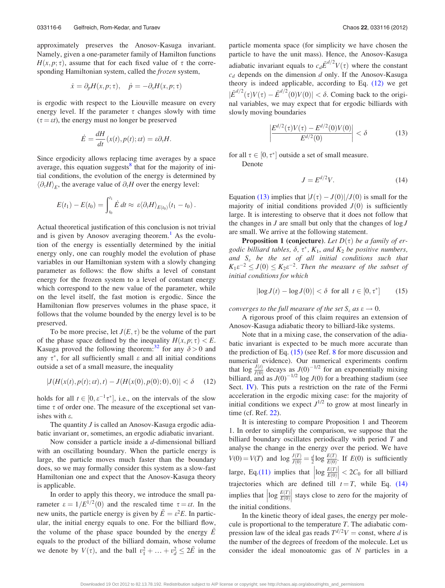approximately preserves the Anosov-Kasuga invariant. Namely, given a one-parameter family of Hamilton functions  $H(x, p; \tau)$ , assume that for each fixed value of  $\tau$  the corresponding Hamiltonian system, called the *frozen* system,

$$
\dot{x} = \partial_p H(x, p; \tau), \quad \dot{p} = -\partial_x H(x, p; \tau)
$$

is ergodic with respect to the Liouville measure on every energy level. If the parameter  $\tau$  changes slowly with time  $(\tau = \varepsilon t)$ , the energy must no longer be preserved

$$
\dot{E} = \frac{dH}{dt}(x(t), p(t); \varepsilon t) = \varepsilon \partial_{\tau} H.
$$

Since ergodicity allows replacing time averages by a space average, this equation suggests<sup>[8](#page--1-0)</sup> that for the majority of initial conditions, the evolution of the energy is determined by  $\langle \partial_{\tau}H \rangle_E$ , the average value of  $\partial_{\tau}H$  over the energy level:

$$
E(t_1) - E(t_0) = \int_{t_0}^{t_1} \dot{E} dt \approx \varepsilon \langle \partial_{\tau} H \rangle_{E(t_0)} (t_1 - t_0) .
$$

Actual theoretical justification of this conclusion is not trivial and is given by Anosov averaging theorem.<sup>[1](#page--1-0)</sup> As the evolution of the energy is essentially determined by the initial energy only, one can roughly model the evolution of phase variables in our Hamiltonian system with a slowly changing parameter as follows: the flow shifts a level of constant energy for the frozen system to a level of constant energy which correspond to the new value of the parameter, while on the level itself, the fast motion is ergodic. Since the Hamiltonian flow preserves volumes in the phase space, it follows that the volume bounded by the energy level is to be preserved.

To be more precise, let  $J(E, \tau)$  be the volume of the part of the phase space defined by the inequality  $H(x, p; \tau) < E$ . Kasuga proved the following theorem:<sup>[32](#page--1-0)</sup> for any  $\delta > 0$  and any  $\tau^*$ , for all sufficiently small  $\varepsilon$  and all initial conditions outside a set of a small measure, the inequality

$$
|J(H(x(t), p(t); \varepsilon t), t) - J(H(x(0), p(0); 0), 0)| < \delta \quad (12)
$$

holds for all  $t \in [0, \varepsilon^{-1} \tau^*]$ , i.e., on the intervals of the slow time  $\tau$  of order one. The measure of the exceptional set vanishes with e.

The quantity J is called an Anosov-Kasuga ergodic adiabatic invariant or, sometimes, an ergodic adiabatic invariant.

Now consider a particle inside a d-dimensional billiard with an oscillating boundary. When the particle energy is large, the particle moves much faster than the boundary does, so we may formally consider this system as a slow-fast Hamiltonian one and expect that the Anosov-Kasuga theory is applicable.

In order to apply this theory, we introduce the small parameter  $\varepsilon = 1/E^{1/2}(0)$  and the rescaled time  $\tau = \varepsilon t$ . In the new units, the particle energy is given by  $\tilde{E} = \varepsilon^2 E$ . In particular, the initial energy equals to one. For the billiard flow, the volume of the phase space bounded by the energy  $\tilde{E}$ equals to the product of the billiard domain, whose volume we denote by  $V(\tau)$ , and the ball  $v_1^2 + \dots + v_d^2 \leq 2\tilde{E}$  in the

particle momenta space (for simplicity we have chosen the particle to have the unit mass). Hence, the Anosov-Kasuga adiabatic invariant equals to  $c_d \tilde{E}^{d/2} V(\tau)$  where the constant  $c_d$  depends on the dimension d only. If the Anosov-Kasuga theory is indeed applicable, according to Eq. [\(12\)](#page--1-0) we get  $|\tilde{E}^{d/2}(\tau)V(\tau) - \tilde{E}^{d/2}(0)V(0)| < \delta$ . Coming back to the original variables, we may expect that for ergodic billiards with slowly moving boundaries

$$
\left| \frac{E^{d/2}(\tau)V(\tau) - E^{d/2}(0)V(0)}{E^{d/2}(0)} \right| < \delta \tag{13}
$$

for all  $\tau \in [0, \tau^*]$  outside a set of small measure.

Denote

$$
J = E^{d/2}V.\t(14)
$$

Equation [\(13\)](#page--1-0) implies that  $|J(\tau) - J(0)|/J(0)$  is small for the majority of initial conditions provided  $J(0)$  is sufficiently large. It is interesting to observe that it does not follow that the changes in  $J$  are small but only that the changes of  $\log J$ are small. We arrive at the following statement.

**Proposition 1 (conjecture).** Let  $D(\tau)$  be a family of ergodic billiard tables,  $\delta$ ,  $\tau^*$ ,  $K_1$ , and  $K_2$  be positive numbers, and  $S_{\varepsilon}$  be the set of all initial conditions such that  $K_1\varepsilon^{-2} \leq J(0) \leq K_2\varepsilon^{-2}$ . Then the measure of the subset of initial conditions for which

$$
|\log J(t) - \log J(0)| < \delta \text{ for all } t \in [0, \tau^*] \qquad (15)
$$

converges to the full measure of the set  $S_{\varepsilon}$  as  $\varepsilon \to 0$ .

A rigorous proof of this claim requires an extension of Anosov-Kasuga adiabatic theory to billiard-like systems.

Note that in a mixing case, the conservation of the adiabatic invariant is expected to be much more accurate than the prediction of Eq. [\(15\)](#page--1-0) (see Ref. [8](#page--1-0) for more discussion and numerical evidence). Our numerical experiments confirm that  $\log \frac{J(t)}{J(0)}$  decays as  $J(0)^{-1/2}$  for an exponentially mixing billiard, and as  $J(0)^{-1/2}$  log  $J(0)$  for a breathing stadium (see Sect. [IV\)](#page--1-0). This puts a restriction on the rate of the Fermi acceleration in the ergodic mixing case: for the majority of initial conditions we expect  $J^{1/2}$  to grow at most linearly in time (cf. Ref. [22](#page--1-0)).

It is interesting to compare Proposition 1 and Theorem 1. In order to simplify the comparison, we suppose that the billiard boundary oscillates periodically with period T and analyse the change in the energy over the period. We have  $V(0) = V(T)$  and  $\log \frac{J(T)}{J(0)} = \frac{d}{2} \log \frac{E(T)}{E(0)}$ . If  $E(0)$  is sufficiently large, Eq.[\(11\)](#page--1-0) implies that  $\log \frac{E(T)}{E(0)}$  $\overline{\phantom{a}}$  $\vert$  < 2C<sub>0</sub> for all billiard trajectories which are defined till  $t = T$ , while Eq. [\(14\)](#page--1-0) implies that  $\left| \log \frac{E(T)}{E(0)} \right|$  $\frac{1}{\sqrt{2}}$ stays close to zero for the majority of the initial conditions.

In the kinetic theory of ideal gases, the energy per molecule is proportional to the temperature  $T$ . The adiabatic compression law of the ideal gas reads  $T^{d/2}V = \text{const}$ , where d is the number of the degrees of freedom of the molecule. Let us consider the ideal monoatomic gas of N particles in a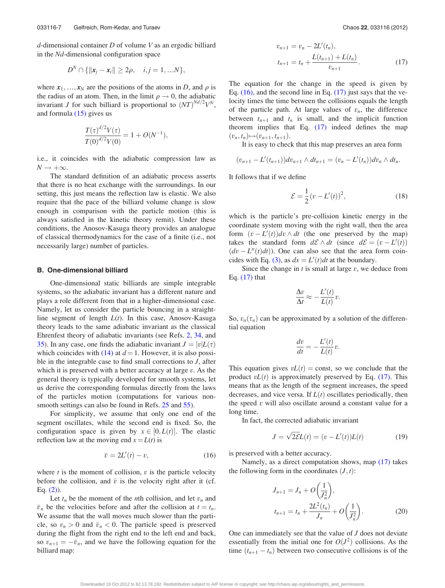$d$ -dimensional container  $D$  of volume  $V$  as an ergodic billiard in the Nd-dimensional configuration space

$$
D^N\cap\{\|\mathbf{x}_j-\mathbf{x}_i\|\geq 2\rho,\quad i,j=1,...N\},
$$

where  $x_1, ..., x_N$  are the positions of the atoms in D, and  $\rho$  is the radius of an atom. Then, in the limit  $\rho \to 0$ , the adiabatic invariant *J* for such billiard is proportional to  $(NT)^{Nd/2}V^N$ , and formula  $(15)$  gives us

$$
\frac{T(\tau)^{d/2}V(\tau)}{T(0)^{d/2}V(0)} = 1 + O(N^{-1}),
$$

i.e., it coincides with the adiabatic compression law as  $N \rightarrow +\infty$ .

The standard definition of an adiabatic process asserts that there is no heat exchange with the surroundings. In our setting, this just means the reflection law is elastic. We also require that the pace of the billiard volume change is slow enough in comparison with the particle motion (this is always satisfied in the kinetic theory remit). Under these conditions, the Anosov-Kasuga theory provides an analogue of classical thermodynamics for the case of a finite (i.e., not necessarily large) number of particles.

# B. One-dimensional billiard

One-dimensional static billiards are simple integrable systems, so the adiabatic invariant has a different nature and plays a role different from that in a higher-dimensional case. Namely, let us consider the particle bouncing in a straightline segment of length  $L(t)$ . In this case, Anosov-Kasuga theory leads to the same adiabatic invariant as the classical Ehrenfest theory of adiabatic invariants (see Refs. [2,](#page--1-0) [34](#page--1-0), and [35](#page--1-0)). In any case, one finds the adiabatic invariant  $J = |v|L(\tau)$ which coincides with [\(14\)](#page--1-0) at  $d = 1$ . However, it is also possible in the integrable case to find small corrections to  $J$ , after which it is preserved with a better accuracy at large  $v$ . As the general theory is typically developed for smooth systems, let us derive the corresponding formulas directly from the laws of the particles motion (computations for various non-smooth settings can also be found in Refs. [25](#page--1-0) and [55](#page--1-0)).

For simplicity, we assume that only one end of the segment oscillates, while the second end is fixed. So, the configuration space is given by  $x \in [0, L(t)]$ . The elastic reflection law at the moving end  $x = L(t)$  is

$$
\bar{v} = 2L'(t) - v,\tag{16}
$$

where  $t$  is the moment of collision,  $v$  is the particle velocity before the collision, and  $\bar{v}$  is the velocity right after it (cf. Eq. [\(2\)\)](#page--1-0).

Let  $t_n$  be the moment of the *n*th collision, and let  $v_n$  and  $\bar{v}_n$  be the velocities before and after the collision at  $t = t_n$ . We assume that the wall moves much slower than the particle, so  $v_n > 0$  and  $\bar{v}_n < 0$ . The particle speed is preserved during the flight from the right end to the left end and back, so  $v_{n+1} = -\bar{v}_n$ , and we have the following equation for the billiard map:

$$
v_{n+1} = v_n - 2L'(t_n),
$$
  
\n
$$
t_{n+1} = t_n + \frac{L(t_{n+1}) + L(t_n)}{v_{n+1}}.
$$
\n(17)

The equation for the change in the speed is given by Eq.  $(16)$ , and the second line in Eq.  $(17)$  just says that the velocity times the time between the collisions equals the length of the particle path. At large values of  $v_n$ , the difference between  $t_{n+1}$  and  $t_n$  is small, and the implicit function theorem implies that Eq.  $(17)$  indeed defines the map  $(v_n, t_n) \rightarrow (v_{n+1}, t_{n+1}).$ 

It is easy to check that this map preserves an area form

$$
(v_{n+1}-L'(t_{n+1}))dv_{n+1} \wedge dt_{n+1}=(v_n-L'(t_n))dv_n \wedge dt_n.
$$

It follows that if we define

$$
\mathcal{E} = \frac{1}{2} (v - L'(t))^2,
$$
\n(18)

which is the particle's pre-collision kinetic energy in the coordinate system moving with the right wall, then the area form  $(v - L'(t))dv \wedge dt$  (the one preserved by the map) takes the standard form  $d\mathcal{E} \wedge dt$  (since  $d\mathcal{E} = (v - L'(t))$  $(dv - L''(t)dt)$ . One can also see that the area form coin-cides with Eq. [\(3\)](#page--1-0), as  $dx = L'(t)dt$  at the boundary.

Since the change in  $t$  is small at large  $v$ , we deduce from Eq.  $(17)$  that

$$
\frac{\Delta v}{\Delta t} \approx -\frac{L'(t)}{L(t)}v.
$$

So,  $v_n(\tau_n)$  can be approximated by a solution of the differential equation

$$
\frac{dv}{dt} = -\frac{L'(t)}{L(t)}v.
$$

This equation gives  $vL(t) = \text{const}$ , so we conclude that the product  $vL(t)$  is approximately preserved by Eq. [\(17\).](#page--1-0) This means that as the length of the segment increases, the speed decreases, and vice versa. If  $L(t)$  oscillates periodically, then the speed  $v$  will also oscillate around a constant value for a long time.

In fact, the corrected adiabatic invariant

$$
J = \sqrt{2\mathcal{E}}L(t) = (v - L'(t))L(t)
$$
 (19)

is preserved with a better accuracy.

Namely, as a direct computation shows, map [\(17\)](#page--1-0) takes the following form in the coordinates  $(J, t)$ :

$$
J_{n+1} = J_n + O\left(\frac{1}{J_n^2}\right),
$$
  

$$
t_{n+1} = t_n + \frac{2L^2(t_n)}{J_n} + O\left(\frac{1}{J_n^2}\right).
$$
 (20)

One can immediately see that the value of  $J$  does not deviate essentially from the initial one for  $O(J^2)$  collisions. As the time  $(t_{n+1} - t_n)$  between two consecutive collisions is of the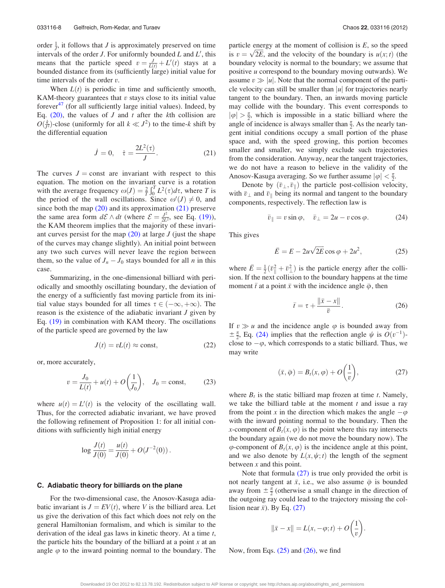order  $\frac{1}{J}$ , it follows that *J* is approximately preserved on time intervals of the order  $J$ . For uniformly bounded  $L$  and  $L'$ , this means that the particle speed  $v = \frac{J}{L(t)} + L'(t)$  stays at a bounded distance from its (sufficiently large) initial value for time intervals of the order v.

When  $L(t)$  is periodic in time and sufficiently smooth, KAM-theory guarantees that  $v$  stays close to its initial value forever<sup>[47](#page--1-0)</sup> (for all sufficiently large initial values). Indeed, by Eq.  $(20)$ , the values of J and t after the kth collision are  $O(\frac{k}{J^2})$ -close (uniformly for all  $k \ll J^2$ ) to the time-k shift by the differential equation

$$
\dot{J} = 0, \quad \dot{\tau} = \frac{2L^2(\tau)}{J}.
$$
 (21)

The curves  $J =$ const are invariant with respect to this equation. The motion on the invariant curve is a rotation with the average frequency  $\omega(J) = \frac{2}{T}$  $\int_0^T L^2(\tau) d\tau$ , where T is the period of the wall oscillations. Since  $\omega'(J) \neq 0$ , and since both the map  $(20)$  and its approximation  $(21)$  preserve the same area form  $d\mathcal{E} \wedge dt$  (where  $\mathcal{E} = \frac{J^2}{2L^2}$ , see Eq. [\(19\)](#page--1-0)), the KAM theorem implies that the majority of these invariant curves persist for the map  $(20)$  at large J (just the shape of the curves may change slightly). An initial point between any two such curves will never leave the region between them, so the value of  $J_n - J_0$  stays bounded for all *n* in this case.

Summarizing, in the one-dimensional billiard with periodically and smoothly oscillating boundary, the deviation of the energy of a sufficiently fast moving particle from its initial value stays bounded for all times  $\tau \in (-\infty, +\infty)$ . The reason is the existence of the adiabatic invariant  $J$  given by Eq. [\(19\)](#page--1-0) in combination with KAM theory. The oscillations of the particle speed are governed by the law

$$
J(t) = vL(t) \approx \text{const},\tag{22}
$$

or, more accurately,

$$
v = \frac{J_0}{L(t)} + u(t) + O\left(\frac{1}{J_0}\right), \quad J_0 = \text{const}, \tag{23}
$$

where  $u(t) = L'(t)$  is the velocity of the oscillating wall. Thus, for the corrected adiabatic invariant, we have proved the following refinement of Proposition 1: for all initial conditions with sufficiently high initial energy

$$
\log \frac{J(t)}{J(0)} = \frac{u(t)}{J(0)} + O(J^{-2}(0)).
$$

#### C. Adiabatic theory for billiards on the plane

For the two-dimensional case, the Anosov-Kasuga adiabatic invariant is  $J = EV(t)$ , where V is the billiard area. Let us give the derivation of this fact which does not rely on the general Hamiltonian formalism, and which is similar to the derivation of the ideal gas laws in kinetic theory. At a time  $t$ , the particle hits the boundary of the billiard at a point  $x$  at an angle  $\varphi$  to the inward pointing normal to the boundary. The particle energy at the moment of collision is  $E$ , so the speed particle energy at the moment of collision is *E*, so the speed<br>is  $v = \sqrt{2E}$ , and the velocity of the boundary is  $u(x; t)$  (the boundary velocity is normal to the boundary; we assume that positive u correspond to the boundary moving outwards). We assume  $v \gg |u|$ . Note that the normal component of the particle velocity can still be smaller than  $|u|$  for trajectories nearly tangent to the boundary. Then, an inwards moving particle may collide with the boundary. This event corresponds to  $|\varphi| > \frac{\pi}{2}$ , which is impossible in a static billiard where the angle of incidence is always smaller than  $\frac{\pi}{2}$ . As the nearly tangent initial conditions occupy a small portion of the phase space and, with the speed growing, this portion becomes smaller and smaller, we simply exclude such trajectories from the consideration. Anyway, near the tangent trajectories, we do not have a reason to believe in the validity of the Anosov-Kasuga averaging. So we further assume  $|\varphi| < \frac{\pi}{2}$ .

Denote by  $(\bar{v}_{\perp}, \bar{v}_{\parallel})$  the particle post-collision velocity, with  $\bar{v}_{\perp}$  and  $\bar{v}_{\parallel}$  being its normal and tangent to the boundary components, respectively. The reflection law is

$$
\bar{v}_{\parallel} = v \sin \varphi, \quad \bar{v}_{\perp} = 2u - v \cos \varphi. \tag{24}
$$

This gives

$$
\bar{E} = E - 2u\sqrt{2E}\cos\varphi + 2u^2,
$$
 (25)

where  $\bar{E} = \frac{1}{2} (\bar{v}_{\parallel}^2 + \bar{v}_{\perp}^2)$  is the particle energy after the collision. If the next collision to the boundary happens at the time moment  $\bar{t}$  at a point  $\bar{x}$  with the incidence angle  $\bar{\varphi}$ , then

$$
\bar{t} = \tau + \frac{\|\bar{x} - x\|}{\bar{v}}.\tag{26}
$$

If  $v \gg u$  and the incidence angle  $\varphi$  is bounded away from  $\pm \frac{\pi}{2}$ , Eq. [\(24\)](#page--1-0) implies that the reflection angle  $\psi$  is  $O(v^{-1})$ close to  $-\varphi$ , which corresponds to a static billiard. Thus, we may write

$$
(\bar{x}, \bar{\varphi}) = B_t(x, \varphi) + O\left(\frac{1}{v}\right),\tag{27}
$$

where  $B_t$  is the static billiard map frozen at time t. Namely, we take the billiard table at the moment  $t$  and issue a ray from the point x in the direction which makes the angle  $-\varphi$ with the inward pointing normal to the boundary. Then the x-component of  $B_t(x, \varphi)$  is the point where this ray intersects the boundary again (we do not move the boundary now). The  $\varphi$ -component of  $B_t(x, \varphi)$  is the incidence angle at this point, and we also denote by  $L(x, \psi; t)$  the length of the segment between  $x$  and this point.

Note that formula  $(27)$  is true only provided the orbit is not nearly tangent at  $\bar{x}$ , i.e., we also assume  $\bar{\varphi}$  is bounded away from  $\pm \frac{\pi}{2}$  (otherwise a small change in the direction of the outgoing ray could lead to the trajectory missing the collision near  $\bar{x}$ ). By Eq. [\(27\)](#page--1-0)

$$
\|\bar{x} - x\| = L(x, -\varphi; t) + O\left(\frac{1}{v}\right).
$$

Now, from Eqs.  $(25)$  and  $(26)$ , we find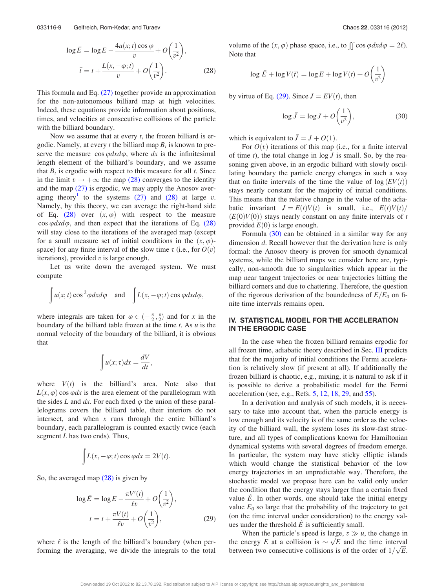$$
\log \bar{E} = \log E - \frac{4u(x;t)\cos\varphi}{v} + O\left(\frac{1}{v^2}\right),
$$

$$
\bar{t} = t + \frac{L(x, -\varphi; t)}{v} + O\left(\frac{1}{v^2}\right).
$$
(28)

This formula and Eq. [\(27\)](#page--1-0) together provide an approximation for the non-autonomous billiard map at high velocities. Indeed, these equations provide information about positions, times, and velocities at consecutive collisions of the particle with the billiard boundary.

Now we assume that at every  $t$ , the frozen billiard is ergodic. Namely, at every t the billiard map  $B_t$  is known to preserve the measure cos  $\varphi dx d\varphi$ , where dx is the infinitesimal length element of the billiard's boundary, and we assume that  $B_t$  is ergodic with respect to this measure for all t. Since in the limit  $v \rightarrow +\infty$  the map [\(28\)](#page--1-0) converges to the identity and the map  $(27)$  is ergodic, we may apply the Anosov aver-aging theory<sup>[1](#page--1-0)</sup> to the systems  $(27)$  and  $(28)$  at large v. Namely, by this theory, we can average the right-hand side of Eq. [\(28\)](#page--1-0) over  $(x, \varphi)$  with respect to the measure  $\cos \varphi \, dx \, d\varphi$ , and then expect that the iterations of Eq. [\(28\)](#page--1-0) will stay close to the iterations of the averaged map (except for a small measure set of initial conditions in the  $(x, \varphi)$ space) for any finite interval of the slow time  $\tau$  (i.e., for  $O(v)$ iterations), provided  $v$  is large enough.

Let us write down the averaged system. We must compute

$$
\int u(x;t)\cos^2\varphi dx d\varphi \quad \text{and} \quad \int L(x,-\varphi;t)\cos\varphi dx d\varphi,
$$

where integrals are taken for  $\varphi \in \left(-\frac{\pi}{2}, \frac{\pi}{2}\right)$  and for x in the boundary of the billiard table frozen at the time  $t$ . As  $u$  is the normal velocity of the boundary of the billiard, it is obvious that

$$
\int u(x;\tau)dx = \frac{dV}{dt},
$$

where  $V(t)$  is the billiard's area. Note also that  $L(x, \varphi)$  cos  $\varphi dx$  is the area element of the parallelogram with the sides L and dx. For each fixed  $\varphi$  the union of these parallelograms covers the billiard table, their interiors do not intersect, and when  $x$  runs through the entire billiard's boundary, each parallelogram is counted exactly twice (each segment  $L$  has two ends). Thus,

$$
\int L(x, -\varphi; t) \cos \varphi dx = 2V(t).
$$

So, the averaged map [\(28\)](#page--1-0) is given by

$$
\log \bar{E} = \log E - \frac{\pi V'(t)}{\ell v} + O\left(\frac{1}{v^2}\right),
$$

$$
\bar{t} = t + \frac{\pi V(t)}{\ell v} + O\left(\frac{1}{v^2}\right),
$$
(29)

where  $\ell$  is the length of the billiard's boundary (when performing the averaging, we divide the integrals to the total volume of the  $(x, \varphi)$  phase space, i.e., to  $\iint \cos \varphi dx d\varphi = 2\ell$ . Note that

$$
\log \bar{E} + \log V(\bar{t}) = \log E + \log V(t) + O\left(\frac{1}{v^2}\right)
$$

by virtue of Eq. [\(29\)](#page--1-0). Since  $J = EV(t)$ , then

$$
\log \bar{J} = \log J + O\left(\frac{1}{v^2}\right),\tag{30}
$$

which is equivalent to  $\bar{J} = J + O(1)$ .

For  $O(v)$  iterations of this map (i.e., for a finite interval of time t), the total change in  $log J$  is small. So, by the reasoning given above, in an ergodic billiard with slowly oscillating boundary the particle energy changes in such a way that on finite intervals of the time the value of  $log(EV(t))$ stays nearly constant for the majority of initial conditions. This means that the relative change in the value of the adiabatic invariant  $J = E(t)V(t)$  is small, i.e.,  $E(t)V(t)/$  $(E(0)V(0))$  stays nearly constant on any finite intervals of t provided  $E(0)$  is large enough.

Formula [\(30\)](#page--1-0) can be obtained in a similar way for any dimension d. Recall however that the derivation here is only formal: the Anosov theory is proven for smooth dynamical systems, while the billiard maps we consider here are, typically, non-smooth due to singularities which appear in the map near tangent trajectories or near trajectories hitting the billiard corners and due to chattering. Therefore, the question of the rigorous derivation of the boundedness of  $E/E_0$  on finite time intervals remains open.

# IV. STATISTICAL MODEL FOR THE ACCELERATION IN THE ERGODIC CASE

In the case when the frozen billiard remains ergodic for all frozen time, adiabatic theory described in Sec. [III](#page--1-0) predicts that for the majority of initial conditions the Fermi acceleration is relatively slow (if present at all). If additionally the frozen billiard is chaotic, e.g., mixing, it is natural to ask if it is possible to derive a probabilistic model for the Fermi acceleration (see, e.g., Refs. [5](#page--1-0), [12](#page--1-0), [18](#page--1-0), [29](#page--1-0), and [55](#page--1-0)).

In a derivation and analysis of such models, it is necessary to take into account that, when the particle energy is low enough and its velocity is of the same order as the velocity of the billiard wall, the system loses its slow-fast structure, and all types of complications known for Hamiltonian dynamical systems with several degrees of freedom emerge. In particular, the system may have sticky elliptic islands which would change the statistical behavior of the low energy trajectories in an unpredictable way. Therefore, the stochastic model we propose here can be valid only under the condition that the energy stays larger than a certain fixed value  $\hat{E}$ . In other words, one should take the initial energy value  $E_0$  so large that the probability of the trajectory to get (on the time interval under consideration) to the energy values under the threshold  $E$  is sufficiently small.

When the particle's speed is large,  $v \gg u$ , the change in when the particle s speed is large,  $v \gg u$ , the change in<br>the energy E at a collision is  $\sim \sqrt{E}$  and the time interval the energy E at a comstant is  $\sim \sqrt{E}$  and the time interval between two consecutive collisions is of the order of  $1/\sqrt{E}$ .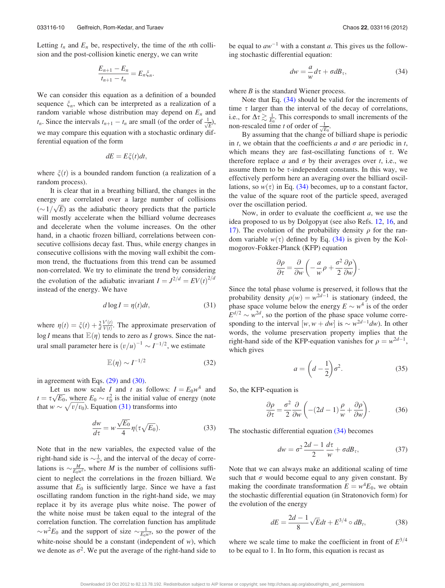Letting  $t_n$  and  $E_n$  be, respectively, the time of the *n*th collision and the post-collision kinetic energy, we can write

$$
\frac{E_{n+1} - E_n}{t_{n+1} - t_n} = E_n \xi_n.
$$

We can consider this equation as a definition of a bounded sequence  $\xi_n$ , which can be interpreted as a realization of a random variable whose distribution may depend on  $E_n$  and  $t_n$ . Since the intervals  $t_{n+1} - t_n$  are small (of the order of  $\frac{1}{\sqrt{E}}$ ), we may compare this equation with a stochastic ordinary differential equation of the form

$$
dE = E\xi(t)dt,
$$

where  $\xi(t)$  is a bounded random function (a realization of a random process).

It is clear that in a breathing billiard, the changes in the energy are correlated over a large number of collisions  $(\sim 1/\sqrt{E})$  as the adiabatic theory predicts that the particle will mostly accelerate when the billiard volume decreases and decelerate when the volume increases. On the other hand, in a chaotic frozen billiard, correlations between consecutive collisions decay fast. Thus, while energy changes in consecutive collisions with the moving wall exhibit the common trend, the fluctuations from this trend can be assumed non-correlated. We try to eliminate the trend by considering the evolution of the adiabatic invariant  $I = J^{2/d} = EV(t)^{2/d}$ instead of the energy. We have

$$
d\log I = \eta(t)dt,\tag{31}
$$

where  $\eta(t) = \xi(t) + \frac{2}{d}$  $\frac{V'(t)}{V(t)}$ . The approximate preservation of  $\log I$  means that  $\mathbb{E}(\eta)$  tends to zero as *I* grows. Since the natural small parameter here is  $(v/u)^{-1} \sim I^{-1/2}$ , we estimate

$$
\mathbb{E}(\eta) \sim I^{-1/2} \tag{32}
$$

in agreement with Eqs. [\(29\)](#page--1-0) and [\(30\).](#page--1-0)

Let us now scale I and t as follows:  $I = E_0 w^4$  and Let us now scale T and T as follows.  $I = E_0 w$  and<br>  $t = \tau \sqrt{E_0}$ , where  $E_0 \sim v_0^2$  is the initial value of energy (note that  $w \sim \sqrt{v/v_0}$ . Equation [\(31\)](#page--1-0) transforms into

$$
\frac{dw}{d\tau} = w \frac{\sqrt{E_0}}{4} \eta(\tau \sqrt{E_0}).
$$
\n(33)

Note that in the new variables, the expected value of the right-hand side is  $\sim \frac{1}{w}$ , and the interval of the decay of correlations is  $\sim \frac{M}{E_0 w^2}$ , where *M* is the number of collisions sufficient to neglect the correlations in the frozen billiard. We assume that  $E_0$  is sufficiently large. Since we have a fast oscillating random function in the right-hand side, we may replace it by its average plus white noise. The power of the white noise must be taken equal to the integral of the correlation function. The correlation function has amplitude  $\sim w^2 E_0$  and the support of size  $\sim \frac{1}{E_0 w^2}$ , so the power of the white-noise should be a constant (independent of  $w$ ), which we denote as  $\sigma^2$ . We put the average of the right-hand side to be equal to  $aw^{-1}$  with a constant a. This gives us the following stochastic differential equation:

$$
dw = -\frac{a}{w}d\tau + \sigma dB_{\tau},\tag{34}
$$

where  $B$  is the standard Wiener process.

Note that Eq. [\(34\)](#page--1-0) should be valid for the increments of time  $\tau$  larger than the interval of the decay of correlations, i.e., for  $\Delta \tau \gtrsim \frac{1}{E_0}$ . This corresponds to small increments of the non-rescaled time t of order of  $\frac{1}{\sqrt{E_0}}$ .

By assuming that the change of billiard shape is periodic in t, we obtain that the coefficients a and  $\sigma$  are periodic in t, which means they are fast-oscillating functions of  $\tau$ . We therefore replace  $a$  and  $\sigma$  by their averages over  $t$ , i.e., we assume them to be  $\tau$ -independent constants. In this way, we effectively perform here an averaging over the billiard oscillations, so  $w(\tau)$  in Eq. [\(34\)](#page--1-0) becomes, up to a constant factor, the value of the square root of the particle speed, averaged over the oscillation period.

Now, in order to evaluate the coefficient  $a$ , we use the idea proposed to us by Dolgopyat (see also Refs. [12,](#page--1-0) [16](#page--1-0), and [17](#page--1-0)). The evolution of the probability density  $\rho$  for the random variable  $w(\tau)$  defined by Eq. [\(34\)](#page--1-0) is given by the Kolmogorov-Fokker-Planck (KFP) equation

$$
\frac{\partial \rho}{\partial \tau} = \frac{\partial}{\partial w} \left( -\frac{a}{w} \rho + \frac{\sigma^2}{2} \frac{\partial \rho}{\partial w} \right).
$$

Since the total phase volume is preserved, it follows that the probability density  $\rho(w) = w^{2d-1}$  is stationary (indeed, the phase space volume below the energy  $E \sim w^4$  is of the order  $E^{d/2} \sim w^{2d}$ , so the portion of the phase space volume corresponding to the interval  $[w, w + dw]$  is  $\sim w^{2d-1}dw$ ). In other words, the volume preservation property implies that the right-hand side of the KFP-equation vanishes for  $\rho = w^{2d-1}$ , which gives

$$
a = \left(d - \frac{1}{2}\right)\sigma^2. \tag{35}
$$

So, the KFP-equation is

$$
\frac{\partial \rho}{\partial \tau} = \frac{\sigma^2}{2} \frac{\partial}{\partial w} \left( -(2d - 1) \frac{\rho}{w} + \frac{\partial \rho}{\partial w} \right).
$$
 (36)

The stochastic differential equation [\(34\)](#page--1-0) becomes

$$
dw = \sigma^2 \frac{2d-1}{2} \frac{d\tau}{w} + \sigma d\tau, \qquad (37)
$$

Note that we can always make an additional scaling of time such that  $\sigma$  would become equal to any given constant. By making the coordinate transformation  $E = w^4 E_0$ , we obtain the stochastic differential equation (in Stratonovich form) for the evolution of the energy

$$
dE = \frac{2d - 1}{8} \sqrt{E} dt + E^{3/4} \circ dB_t, \tag{38}
$$

where we scale time to make the coefficient in front of  $E^{3/4}$ to be equal to 1. In Ito form, this equation is recast as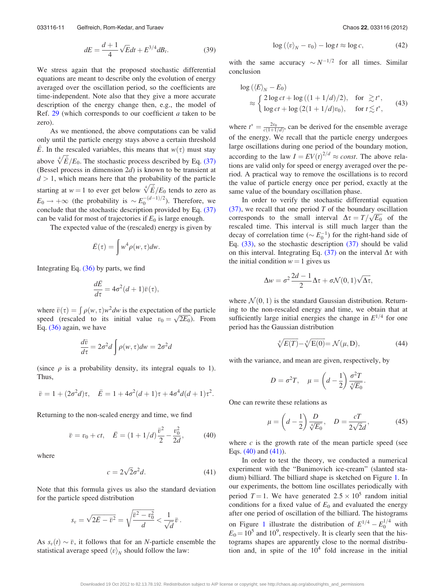$$
dE = \frac{d+1}{4} \sqrt{E} dt + E^{3/4} dB_t.
$$
 (39)

We stress again that the proposed stochastic differential equations are meant to describe only the evolution of energy averaged over the oscillation period, so the coefficients are time-independent. Note also that they give a more accurate description of the energy change then, e.g., the model of Ref.  $29$  (which corresponds to our coefficient *a* taken to be zero).

As we mentioned, the above computations can be valid only until the particle energy stays above a certain threshold  $\hat{E}$ . In the rescaled variables, this means that  $w(\tau)$  must stay above  $\sqrt[4]{\hat{E}}/E_0$ . The stochastic process described by Eq. [\(37\)](#page--1-0) (Bessel process in dimension  $2d$ ) is known to be transient at  $d > 1$ , which means here that the probability of the particle starting at  $w = 1$  to ever get below  $\sqrt[4]{\hat{E}}/E_0$  tends to zero as  $E_0 \rightarrow +\infty$  (the probability is  $\sim E_0^{-(d-1)/2}$ ). Therefore, we conclude that the stochastic description provided by Eq. [\(37\)](#page--1-0) can be valid for most of trajectories if  $E_0$  is large enough.

The expected value of the (rescaled) energy is given by

$$
\bar{E}(\tau) = \int w^4 \rho(w, \tau) dw.
$$

Integrating Eq.  $(36)$  by parts, we find

$$
\frac{d\bar{E}}{d\tau} = 4\sigma^2(d+1)\bar{v}(\tau),
$$

where  $\bar{v}(\tau) = \int \rho(w, \tau) w^2 dw$  is the expectation of the particle where  $v(t) = \int p(w, t)w dw$  is the expectation of the particle<br>speed (rescaled to its initial value  $v_0 = \sqrt{2E_0}$ ). From Eq. [\(36\)](#page--1-0) again, we have

$$
\frac{d\bar{v}}{d\tau} = 2\sigma^2 d \int \rho(w,\tau) dw = 2\sigma^2 d
$$

(since  $\rho$  is a probability density, its integral equals to 1). Thus,

$$
\bar{v} = 1 + (2\sigma^2 d)\tau
$$
,  $\bar{E} = 1 + 4\sigma^2 (d+1)\tau + 4\sigma^4 d(d+1)\tau^2$ .

Returning to the non-scaled energy and time, we find

$$
\bar{v} = v_0 + ct, \quad \bar{E} = (1 + 1/d) \frac{\bar{v}^2}{2} - \frac{v_0^2}{2d},
$$
\n(40)

where

$$
c = 2\sqrt{2}\sigma^2 d. \tag{41}
$$

Note that this formula gives us also the standard deviation for the particle speed distribution

$$
s_v = \sqrt{2\bar{E} - \bar{v}^2} = \sqrt{\frac{\bar{v}^2 - v_0^2}{d}} < \frac{1}{\sqrt{d}}\bar{v}.
$$

As  $s_v(t) \sim \overline{v}$ , it follows that for an *N*-particle ensemble the statistical average speed  $\langle v \rangle_N$  should follow the law:

$$
\log\left(\langle v \rangle_N - v_0\right) - \log t \approx \log c,\tag{42}
$$

with the same accuracy  $\sim N^{-1/2}$  for all times. Similar conclusion

$$
\log (\langle E \rangle_N - E_0)
$$
  
\n
$$
\approx \begin{cases}\n2 \log ct + \log \left( \frac{1 + \frac{1}{d}}{2} \right), & \text{for } \geq t^*, \\
\log ct + \log \left( \frac{2(1 + \frac{1}{d})v_0}{2} \right), & \text{for } t \leq t^*,\n\end{cases}
$$
\n(43)

where  $t^* = \frac{2v_0}{c(1+1/d)}$ , can be derived for the ensemble average of the energy. We recall that the particle energy undergoes large oscillations during one period of the boundary motion, according to the law  $I = EV(t)^{2/d} \approx const.$  The above relations are valid only for speed or energy averaged over the period. A practical way to remove the oscillations is to record the value of particle energy once per period, exactly at the same value of the boundary oscillation phase.

In order to verify the stochastic differential equation  $(37)$ , we recall that one period T of the boundary oscillation corresponds to the small interval  $\Delta \tau = T/\sqrt{E_0}$  of the rescaled time. This interval is still much larger than the decay of correlation time ( $\sim E_0^{-1}$ ) for the right-hand side of Eq. [\(33\)](#page--1-0), so the stochastic description [\(37\)](#page--1-0) should be valid on this interval. Integrating Eq. [\(37\)](#page--1-0) on the interval  $\Delta \tau$  with the initial condition  $w = 1$  gives us

$$
\Delta w = \sigma^2 \frac{2d-1}{2} \Delta \tau + \sigma \mathcal{N}(0,1) \sqrt{\Delta \tau},
$$

where  $\mathcal{N}(0, 1)$  is the standard Gaussian distribution. Returning to the non-rescaled energy and time, we obtain that at sufficiently large initial energies the change in  $E^{1/4}$  for one period has the Gaussian distribution

$$
\sqrt[4]{E(T)} - \sqrt[4]{E(0)} = \mathcal{N}(\mu, D),\tag{44}
$$

with the variance, and mean are given, respectively, by

$$
D = \sigma^2 T, \quad \mu = \left(d - \frac{1}{2}\right) \frac{\sigma^2 T}{\sqrt[4]{E_0}}.
$$

One can rewrite these relations as

$$
\mu = \left(d - \frac{1}{2}\right) \frac{D}{\sqrt[4]{E_0}}, \quad D = \frac{cT}{2\sqrt{2}d},\tag{45}
$$

where  $c$  is the growth rate of the mean particle speed (see Eqs. [\(40\)](#page--1-0) and [\(41\)\)](#page--1-0).

In order to test the theory, we conducted a numerical experiment with the "Bunimovich ice-cream" (slanted stadium) billiard. The billiard shape is sketched on Figure [1](#page--1-0). In our experiments, the bottom line oscillates periodically with period  $T = 1$ . We have generated  $2.5 \times 10^5$  random initial conditions for a fixed value of  $E_0$  and evaluated the energy after one period of oscillation of the billiard. The histograms on Figure [1](#page--1-0) illustrate the distribution of  $E^{1/4} - E_0^{1/4}$  with  $E_0 = 10^5$  and 10<sup>9</sup>, respectively. It is clearly seen that the histograms shapes are apparently close to the normal distribution and, in spite of the  $10<sup>4</sup>$  fold increase in the initial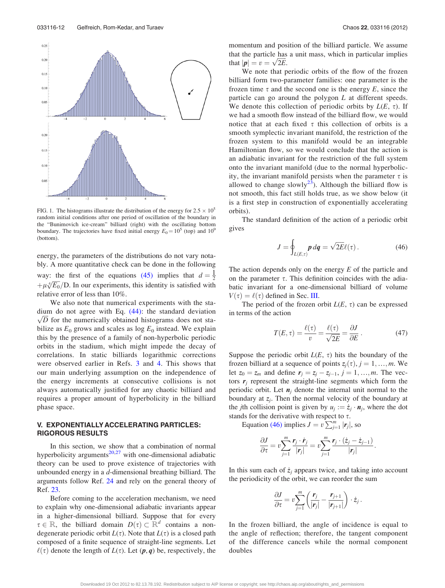

FIG. 1. The histograms illustrate the distribution of the energy for  $2.5 \times 10^5$ random initial conditions after one period of oscillation of the boundary in the "Bunimovich ice-cream" billiard (right) with the oscillating bottom boundary. The trajectories have fixed initial energy  $E_0 = 10^5$  (top) and  $10^9$ (bottom).

energy, the parameters of the distributions do not vary notably. A more quantitative check can be done in the following way: the first of the equations [\(45\)](#page--1-0) implies that  $d = \frac{1}{2}$  $\mu_1 + \mu_2 + \mu_3$  [Eq. | D. | In our experiments, this identity is satisfied with relative error of less than 10%.

We also note that numerical experiments with the stadium do not agree with Eq.  $(44)$ : the standard deviation  $\sqrt{D}$  for the numerically obtained histograms does not stabilize as  $E_0$  grows and scales as log  $E_0$  instead. We explain this by the presence of a family of non-hyperbolic periodic orbits in the stadium, which might impede the decay of correlations. In static billiards logarithmic corrections were observed earlier in Refs. [3](#page--1-0) and [4](#page--1-0). This shows that our main underlying assumption on the independence of the energy increments at consecutive collisions is not always automatically justified for any chaotic billiard and requires a proper amount of hyperbolicity in the billiard phase space.

# V. EXPONENTIALLY ACCELERATING PARTICLES: RIGOROUS RESULTS

In this section, we show that a combination of normal hyperbolicity arguments $^{20,27}$  $^{20,27}$  $^{20,27}$  $^{20,27}$  $^{20,27}$  with one-dimensional adiabatic theory can be used to prove existence of trajectories with unbounded energy in a d-dimensional breathing billiard. The arguments follow Ref. [24](#page--1-0) and rely on the general theory of Ref. [23.](#page--1-0)

Before coming to the acceleration mechanism, we need to explain why one-dimensional adiabatic invariants appear in a higher-dimensional billiard. Suppose that for every  $\tau \in \mathbb{R}$ , the billiard domain  $D(\tau) \subset \mathbb{R}^d$  contains a nondegenerate periodic orbit  $L(\tau)$ . Note that  $L(\tau)$  is a closed path composed of a finite sequence of straight-line segments. Let  $\ell(\tau)$  denote the length of  $L(\tau)$ . Let  $(p, q)$  be, respectively, the momentum and position of the billiard particle. We assume that the particle has a unit mass, which in particular implies that  $|\mathbf{p}| = v = \sqrt{2E}$ .

We note that periodic orbits of the flow of the frozen billiard form two-parameter families: one parameter is the frozen time  $\tau$  and the second one is the energy E, since the particle can go around the polygon L at different speeds. We denote this collection of periodic orbits by  $L(E, \tau)$ . If we had a smooth flow instead of the billiard flow, we would notice that at each fixed  $\tau$  this collection of orbits is a smooth symplectic invariant manifold, the restriction of the frozen system to this manifold would be an integrable Hamiltonian flow, so we would conclude that the action is an adiabatic invariant for the restriction of the full system onto the invariant manifold (due to the normal hyperbolicity, the invariant manifold persists when the parameter  $\tau$  is allowed to change slowly<sup>23</sup>). Although the billiard flow is not smooth, this fact still holds true, as we show below (it is a first step in construction of exponentially accelerating orbits).

The standard definition of the action of a periodic orbit gives

$$
J = \oint_{L(E,\tau)} p \, dq = \sqrt{2E}\ell(\tau) \,. \tag{46}
$$

The action depends only on the energy  $E$  of the particle and on the parameter  $\tau$ . This definition coincides with the adiabatic invariant for a one-dimensional billiard of volume  $V(\tau) = \ell(\tau)$  defined in Sec. [III](#page--1-0).

The period of the frozen orbit  $L(E, \tau)$  can be expressed in terms of the action

$$
T(E,\tau) = \frac{\ell(\tau)}{v} = \frac{\ell(\tau)}{\sqrt{2E}} = \frac{\partial J}{\partial E}.
$$
 (47)

Suppose the periodic orbit  $L(E, \tau)$  hits the boundary of the frozen billiard at a sequence of points  $z_i(\tau)$ ,  $j = 1, \ldots, m$ . We let  $z_0 = z_m$  and define  $r_j = z_j - z_{j-1}, j = 1, ..., m$ . The vectors  $r_i$  represent the straight-line segments which form the periodic orbit. Let  $n_i$  denote the internal unit normal to the boundary at  $z_i$ . Then the normal velocity of the boundary at the *j*th collision point is given by  $u_i := \dot{z}_i \cdot \mathbf{n}_i$ , where the dot stands for the derivative with respect to  $\tau$ .

Equation [\(46\)](#page--1-0) implies  $J = v \sum_{j=1}^{m} |\mathbf{r}_j|$ , so

$$
\frac{\partial J}{\partial \tau} = v \sum_{j=1}^{m} \frac{\mathbf{r}_j \cdot \dot{\mathbf{r}}_j}{|\mathbf{r}_j|} = v \sum_{j=1}^{m} \frac{\mathbf{r}_j \cdot (\dot{z}_j - \dot{z}_{j-1})}{|\mathbf{r}_j|}.
$$

In this sum each of  $\dot{z}_j$  appears twice, and taking into account the periodicity of the orbit, we can reorder the sum

$$
\frac{\partial J}{\partial \tau} = v \sum_{j=1}^m \left( \frac{\mathbf{r}_j}{|\mathbf{r}_j|} - \frac{\mathbf{r}_{j+1}}{|\mathbf{r}_{j+1}|} \right) \cdot \dot{z}_j \,.
$$

In the frozen billiard, the angle of incidence is equal to the angle of reflection; therefore, the tangent component of the difference cancels while the normal component doubles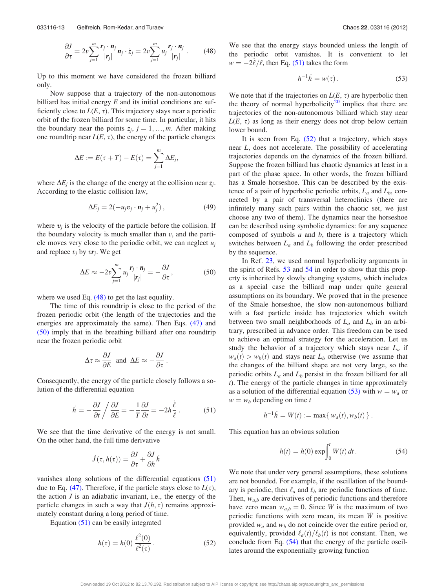$$
\frac{\partial J}{\partial \tau} = 2v \sum_{j=1}^{m} \frac{\mathbf{r}_j \cdot \mathbf{n}_j}{|\mathbf{r}_j|} \mathbf{n}_j \cdot \dot{\mathbf{z}}_j = 2v \sum_{j=1}^{m} u_j \frac{\mathbf{r}_j \cdot \mathbf{n}_j}{|\mathbf{r}_j|} \,. \tag{48}
$$

Up to this moment we have considered the frozen billiard only.

Now suppose that a trajectory of the non-autonomous billiard has initial energy  $E$  and its initial conditions are sufficiently close to  $L(E, \tau)$ . This trajectory stays near a periodic orbit of the frozen billiard for some time. In particular, it hits the boundary near the points  $z_j$ ,  $j = 1, ..., m$ . After making one roundtrip near  $L(E, \tau)$ , the energy of the particle changes

$$
\Delta E := E(\tau + T) - E(\tau) = \sum_{j=1}^{m} \Delta E_j,
$$

where  $\Delta E_i$  is the change of the energy at the collision near  $z_i$ . According to the elastic collision law,

$$
\Delta E_j = 2(-u_j v_j \cdot \mathbf{n}_j + u_j^2), \qquad (49)
$$

where  $v_j$  is the velocity of the particle before the collision. If the boundary velocity is much smaller than  $v$ , and the particle moves very close to the periodic orbit, we can neglect  $u_i$ and replace  $v_i$  by  $vr_i$ . We get

$$
\Delta E \approx -2v \sum_{j=1}^{m} u_j \frac{\mathbf{r}_j \cdot \mathbf{n}_j}{|\mathbf{r}_j|} = -\frac{\partial J}{\partial \tau},
$$
(50)

where we used Eq.  $(48)$  to get the last equality.

The time of this roundtrip is close to the period of the frozen periodic orbit (the length of the trajectories and the energies are approximately the same). Then Eqs. [\(47\)](#page--1-0) and [\(50\)](#page--1-0) imply that in the breathing billiard after one roundtrip near the frozen periodic orbit

$$
\Delta \tau \approx \frac{\partial J}{\partial E}
$$
 and  $\Delta E \approx -\frac{\partial J}{\partial \tau}$ .

Consequently, the energy of the particle closely follows a solution of the differential equation

$$
\dot{h} = -\frac{\partial J}{\partial t} / \frac{\partial J}{\partial E} = -\frac{1}{T} \frac{\partial J}{\partial t} = -2h \frac{\dot{\ell}}{\ell} . \tag{51}
$$

We see that the time derivative of the energy is not small. On the other hand, the full time derivative

$$
\dot{J}(\tau, h(\tau)) = \frac{\partial J}{\partial \tau} + \frac{\partial J}{\partial h} \dot{h}
$$

vanishes along solutions of the differential equations [\(51\)](#page--1-0) due to Eq. [\(47\)](#page--1-0). Therefore, if the particle stays close to  $L(\tau)$ , the action  $J$  is an adiabatic invariant, i.e., the energy of the particle changes in such a way that  $J(h, \tau)$  remains approximately constant during a long period of time.

Equation [\(51\)](#page--1-0) can be easily integrated

$$
h(\tau) = h(0) \frac{\ell^2(0)}{\ell^2(\tau)}.
$$
 (52)

We see that the energy stays bounded unless the length of the periodic orbit vanishes. It is convenient to let  $w = -2\ell/\ell$ , then Eq. [\(51\)](#page--1-0) takes the form

$$
h^{-1}\dot{h} = w(\tau) \,. \tag{53}
$$

We note that if the trajectories on  $L(E, \tau)$  are hyperbolic then the theory of normal hyperbolicity<sup>[20](#page--1-0)</sup> implies that there are trajectories of the non-autonomous billiard which stay near  $L(E, \tau)$  as long as their energy does not drop below certain lower bound.

It is seen from Eq.  $(52)$  that a trajectory, which stays near L, does not accelerate. The possibility of accelerating trajectories depends on the dynamics of the frozen billiard. Suppose the frozen billiard has chaotic dynamics at least in a part of the phase space. In other words, the frozen billiard has a Smale horseshoe. This can be described by the existence of a pair of hyperbolic periodic orbits,  $L_a$  and  $L_b$ , connected by a pair of transversal heteroclinics (there are infinitely many such pairs within the chaotic set, we just choose any two of them). The dynamics near the horseshoe can be described using symbolic dynamics: for any sequence composed of symbols  $a$  and  $b$ , there is a trajectory which switches between  $L_a$  and  $L_b$  following the order prescribed by the sequence.

In Ref. [23](#page--1-0), we used normal hyperbolicity arguments in the spirit of Refs. [53](#page--1-0) and [54](#page--1-0) in order to show that this property is inherited by slowly changing systems, which includes as a special case the billiard map under quite general assumptions on its boundary. We proved that in the presence of the Smale horseshoe, the slow non-autonomous billiard with a fast particle inside has trajectories which switch between two small neighborhoods of  $L_a$  and  $L_b$  in an arbitrary, prescribed in advance order. This freedom can be used to achieve an optimal strategy for the acceleration. Let us study the behavior of a trajectory which stays near  $L_a$  if  $w_a(t) > w_b(t)$  and stays near  $L_b$  otherwise (we assume that the changes of the billiard shape are not very large, so the periodic orbits  $L_a$  and  $L_b$  persist in the frozen billiard for all t). The energy of the particle changes in time approximately as a solution of the differential equation [\(53\)](#page--1-0) with  $w = w_a$  or  $w = w_b$  depending on time t

$$
h^{-1}\dot{h} = W(t) := \max\{w_a(t), w_b(t)\}.
$$

This equation has an obvious solution

$$
h(t) = h(0) \exp \int_0^t W(t) dt.
$$
 (54)

We note that under very general assumptions, these solutions are not bounded. For example, if the oscillation of the boundary is periodic, then  $\ell_a$  and  $\ell_b$  are periodic functions of time. Then,  $w_{a,b}$  are derivatives of periodic functions and therefore have zero mean  $\bar{w}_{a,b} = 0$ . Since *W* is the maximum of two periodic functions with zero mean, its mean  $\overline{W}$  is positive provided  $w_a$  and  $w_b$  do not coincide over the entire period or, equivalently, provided  $\ell_a(t)/\ell_b(t)$  is not constant. Then, we conclude from Eq. [\(54\)](#page--1-0) that the energy of the particle oscillates around the exponentially growing function

Downloaded 19 Oct 2012 to 82.13.78.192. Redistribution subject to AIP license or copyright; see http://chaos.aip.org/about/rights\_and\_permissions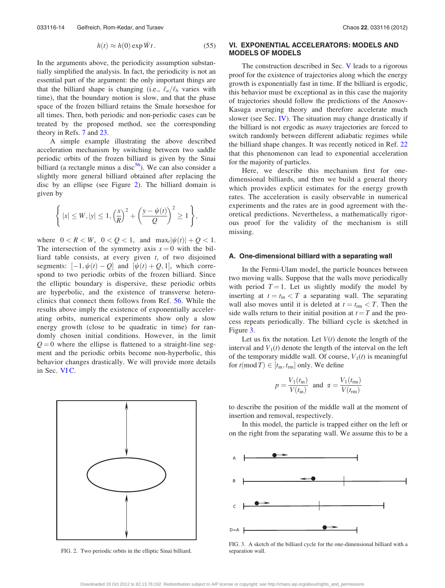$$
h(t) \approx h(0) \exp \bar{W}t. \tag{55}
$$

In the arguments above, the periodicity assumption substantially simplified the analysis. In fact, the periodicity is not an essential part of the argument: the only important things are that the billiard shape is changing (i.e.,  $\ell_a/\ell_b$  varies with time), that the boundary motion is slow, and that the phase space of the frozen billiard retains the Smale horseshoe for all times. Then, both periodic and non-periodic cases can be treated by the proposed method, see the corresponding theory in Refs. [7](#page--1-0) and [23](#page--1-0).

A simple example illustrating the above described acceleration mechanism by switching between two saddle periodic orbits of the frozen billiard is given by the Sinai billiard (a rectangle minus a disc $56$ ). We can also consider a slightly more general billiard obtained after replacing the disc by an ellipse (see Figure [2\)](#page--1-0). The billiard domain is given by

$$
\Bigg\{ |x| \leq W, |y| \leq 1, \left(\frac{x}{R}\right)^2 + \left(\frac{y-\psi(t)}{Q}\right)^2 \geq 1 \Bigg\},\
$$

where  $0 < R < W$ ,  $0 < Q < 1$ , and  $\max_{t} |\psi(t)| + Q < 1$ . The intersection of the symmetry axis  $x = 0$  with the billiard table consists, at every given  $t$ , of two disjoined segments:  $[-1, \psi(t) - Q]$  and  $[\psi(t) + Q, 1]$ , which correspond to two periodic orbits of the frozen billiard. Since the elliptic boundary is dispersive, these periodic orbits are hyperbolic, and the existence of transverse heteroclinics that connect them follows from Ref. [56.](#page--1-0) While the results above imply the existence of exponentially accelerating orbits, numerical experiments show only a slow energy growth (close to be quadratic in time) for randomly chosen initial conditions. However, in the limit  $Q = 0$  where the ellipse is flattened to a straight-line segment and the periodic orbits become non-hyperbolic, this behavior changes drastically. We will provide more details in Sec. VIC.



FIG. 2. Two periodic orbits in the elliptic Sinai billiard.

# VI. EXPONENTIAL ACCELERATORS: MODELS AND MODELS OF MODELS

The construction described in Sec. [V](#page--1-0) leads to a rigorous proof for the existence of trajectories along which the energy growth is exponentially fast in time. If the billiard is ergodic, this behavior must be exceptional as in this case the majority of trajectories should follow the predictions of the Anosov-Kasuga averaging theory and therefore accelerate much slower (see Sec. [IV\)](#page--1-0). The situation may change drastically if the billiard is not ergodic as many trajectories are forced to switch randomly between different adiabatic regimes while the billiard shape changes. It was recently noticed in Ref. [22](#page--1-0) that this phenomenon can lead to exponential acceleration for the majority of particles.

Here, we describe this mechanism first for onedimensional billiards, and then we build a general theory which provides explicit estimates for the energy growth rates. The acceleration is easily observable in numerical experiments and the rates are in good agreement with theoretical predictions. Nevertheless, a mathematically rigorous proof for the validity of the mechanism is still missing.

#### A. One-dimensional billiard with a separating wall

In the Fermi-Ulam model, the particle bounces between two moving walls. Suppose that the walls move periodically with period  $T = 1$ . Let us slightly modify the model by inserting at  $t = t_{\text{in}} < T$  a separating wall. The separating wall also moves until it is deleted at  $t = t_{\rm rm} < T$ . Then the side walls return to their initial position at  $t = T$  and the process repeats periodically. The billiard cycle is sketched in Figure [3.](#page--1-0)

Let us fix the notation. Let  $V(t)$  denote the length of the interval and  $V_1(t)$  denote the length of the interval on the left of the temporary middle wall. Of course,  $V_1(t)$  is meaningful for  $t \text{ (mod } T) \in [t_{\text{in}}, t_{\text{rm}}]$  only. We define

$$
p = \frac{V_1(t_{\text{in}})}{V(t_{\text{in}})} \text{ and } \alpha = \frac{V_1(t_{\text{rm}})}{V(t_{\text{rm}})}
$$

to describe the position of the middle wall at the moment of insertion and removal, respectively.

In this model, the particle is trapped either on the left or on the right from the separating wall. We assume this to be a



FIG. 3. A sketch of the billiard cycle for the one-dimensional billiard with a separation wall.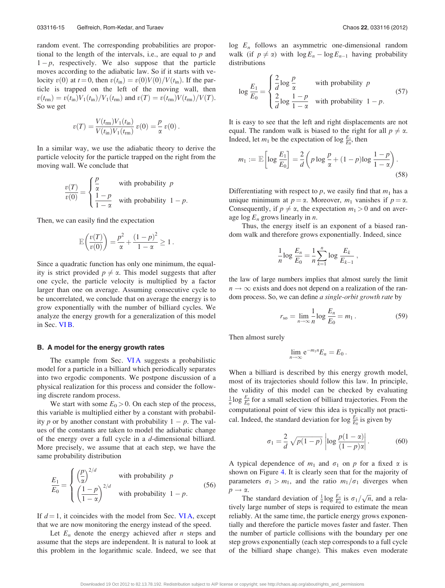random event. The corresponding probabilities are proportional to the length of the intervals, i.e., are equal to  $p$  and  $1 - p$ , respectively. We also suppose that the particle moves according to the adiabatic law. So if it starts with velocity  $v(0)$  at  $t = 0$ , then  $v(t_{\text{in}}) = v(0)V(0)/V(t_{\text{in}})$ . If the particle is trapped on the left of the moving wall, then  $v(t_{\rm rm}) = v(t_{\rm in})V_1(t_{\rm in})/V_1(t_{\rm rm})$  and  $v(T) = v(t_{\rm rm})V(t_{\rm rm})/V(T)$ . So we get

$$
v(T) = \frac{V(t_{\rm rm})V_1(t_{\rm in})}{V(t_{\rm in})V_1(t_{\rm rm})}v(0) = \frac{p}{\alpha}v(0).
$$

In a similar way, we use the adiabatic theory to derive the particle velocity for the particle trapped on the right from the moving wall. We conclude that

$$
\frac{v(T)}{v(0)} = \begin{cases} \frac{p}{\alpha} & \text{with probability } p\\ \frac{1-p}{1-\alpha} & \text{with probability } 1-p. \end{cases}
$$

Then, we can easily find the expectation

$$
\mathbb{E}\left(\frac{v(T)}{v(0)}\right) = \frac{p^2}{\alpha} + \frac{(1-p)^2}{1-\alpha} \ge 1.
$$

Since a quadratic function has only one minimum, the equality is strict provided  $p \neq \alpha$ . This model suggests that after one cycle, the particle velocity is multiplied by a factor larger than one on average. Assuming consecutive cycle to be uncorrelated, we conclude that on average the energy is to grow exponentially with the number of billiard cycles. We analyze the energy growth for a generalization of this model in Sec. [VI B.](#page--1-0)

## B. A model for the energy growth rates

The example from Sec. VIA suggests a probabilistic model for a particle in a billiard which periodically separates into two ergodic components. We postpone discussion of a physical realization for this process and consider the following discrete random process.

We start with some  $E_0 > 0$ . On each step of the process, this variable is multiplied either by a constant with probability p or by another constant with probability  $1 - p$ . The values of the constants are taken to model the adiabatic change of the energy over a full cycle in a d-dimensional billiard. More precisely, we assume that at each step, we have the same probability distribution

$$
\frac{E_1}{E_0} = \begin{cases}\n\left(\frac{p}{\alpha}\right)^{2/d} & \text{with probability } p \\
\left(\frac{1-p}{1-\alpha}\right)^{2/d} & \text{with probability } 1-p.\n\end{cases}
$$
\n(56)

If  $d = 1$ , it coincides with the model from Sec. VIA, except that we are now monitoring the energy instead of the speed.

Let  $E_n$  denote the energy achieved after *n* steps and assume that the steps are independent. It is natural to look at this problem in the logarithmic scale. Indeed, we see that  $log E_n$  follows an asymmetric one-dimensional random walk (if  $p \neq \alpha$ ) with  $\log E_n - \log E_{n-1}$  having probability distributions

$$
\log \frac{E_1}{E_0} = \begin{cases} \frac{2}{d} \log \frac{p}{\alpha} & \text{with probability } p \\ \frac{2}{d} \log \frac{1-p}{1-\alpha} & \text{with probability } 1-p. \end{cases}
$$
(57)

It is easy to see that the left and right displacements are not equal. The random walk is biased to the right for all  $p \neq \alpha$ . Indeed, let  $m_1$  be the expectation of log  $\frac{E_1}{E_0}$ , then

$$
m_1 := \mathbb{E}\left[\log \frac{E_1}{E_0}\right] = \frac{2}{d}\left(p\log\frac{p}{\alpha} + (1-p)\log\frac{1-p}{1-\alpha}\right).
$$
\n(58)

Differentiating with respect to p, we easily find that  $m_1$  has a unique minimum at  $p = \alpha$ . Moreover,  $m_1$  vanishes if  $p = \alpha$ . Consequently, if  $p \neq \alpha$ , the expectation  $m_1 > 0$  and on average  $\log E_n$  grows linearly in *n*.

Thus, the energy itself is an exponent of a biased random walk and therefore grows exponentially. Indeed, since

$$
\frac{1}{n}\log\frac{E_n}{E_0} = \frac{1}{n}\sum_{k=1}^n \log\frac{E_k}{E_{k-1}},
$$

the law of large numbers implies that almost surely the limit  $n \rightarrow \infty$  exists and does not depend on a realization of the random process. So, we can define a single-orbit growth rate by

$$
r_{\rm so} = \lim_{n \to \infty} \frac{1}{n} \log \frac{E_n}{E_0} = m_1 \,. \tag{59}
$$

Then almost surely

$$
\lim_{n\to\infty}e^{-m_1n}E_n=E_0.
$$

When a billiard is described by this energy growth model, most of its trajectories should follow this law. In principle, the validity of this model can be checked by evaluating  $\frac{1}{n}$ log  $\frac{E_n}{E_0}$  for a small selection of billiard trajectories. From the computational point of view this idea is typically not practical. Indeed, the standard deviation for  $\log \frac{E_1}{E_0}$  is given by

$$
\sigma_1 = \frac{2}{d} \sqrt{p(1-p)} \left| \log \frac{p(1-\alpha)}{(1-p)\alpha} \right|.
$$
 (60)

A typical dependence of  $m_1$  and  $\sigma_1$  on p for a fixed  $\alpha$  is shown on Figure [4](#page--1-0). It is clearly seen that for the majority of parameters  $\sigma_1 > m_1$ , and the ratio  $m_1/\sigma_1$  diverges when  $p \rightarrow \alpha$ .

The standard deviation of  $\frac{1}{n} \log \frac{E_n}{E_0}$  is  $\sigma_1/\sqrt{n}$ , and a relatively large number of steps is required to estimate the mean reliably. At the same time, the particle energy grows exponentially and therefore the particle moves faster and faster. Then the number of particle collisions with the boundary per one step grows exponentially (each step corresponds to a full cycle of the billiard shape change). This makes even moderate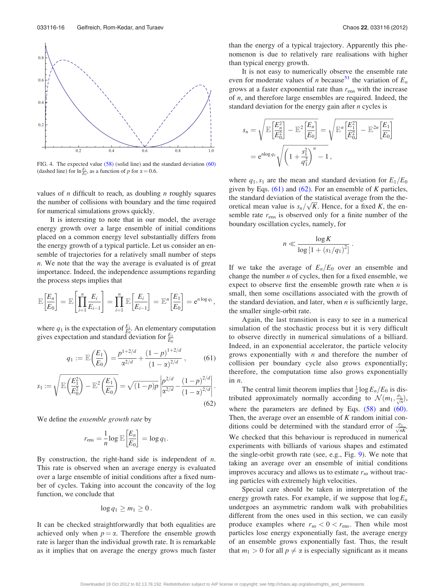

FIG. 4. The expected value [\(58\)](#page--1-0) (solid line) and the standard deviation [\(60\)](#page--1-0) (dashed line) for  $\ln \frac{E_1}{E_0}$ , as a function of p for  $\alpha = 0.6$ .

values of *n* difficult to reach, as doubling *n* roughly squares the number of collisions with boundary and the time required for numerical simulations grows quickly.

It is interesting to note that in our model, the average energy growth over a large ensemble of initial conditions placed on a common energy level substantially differs from the energy growth of a typical particle. Let us consider an ensemble of trajectories for a relatively small number of steps n. We note that the way the average is evaluated is of great importance. Indeed, the independence assumptions regarding the process steps implies that

$$
\mathbb{E}\left[\frac{E_n}{E_0}\right] = \mathbb{E}\left[\prod_{i=1}^n \frac{E_i}{E_{i-1}}\right] = \prod_{i=1}^n \mathbb{E}\left[\frac{E_i}{E_{i-1}}\right] = \mathbb{E}^n \left[\frac{E_1}{E_0}\right] = e^{n \log q_1},
$$

where  $q_1$  is the expectation of  $\frac{E_1}{E_0}$ . An elementary computation gives expectation and standard deviation for  $\frac{E_1}{E_0}$ 

$$
q_1 := \mathbb{E}\left(\frac{E_1}{E_0}\right) = \frac{p^{1+2/d}}{\alpha^{2/d}} + \frac{(1-p)^{1+2/d}}{(1-\alpha)^{2/d}},\tag{61}
$$

$$
s_1 := \sqrt{\mathbb{E}\left(\frac{E_1^2}{E_0^2}\right) - \mathbb{E}^2\left(\frac{E_1}{E_0}\right)} = \sqrt{(1-p)p} \left|\frac{p^{2/d}}{\alpha^{2/d}} - \frac{(1-p)^{2/d}}{(1-\alpha)^{2/d}}\right|.
$$
\n(62)

We define the *ensemble growth rate* by

$$
r_{\text{ens}} = \frac{1}{n} \log \mathbb{E} \left[ \frac{E_n}{E_0} \right] = \log q_1.
$$

By construction, the right-hand side is independent of  $n$ . This rate is observed when an average energy is evaluated over a large ensemble of initial conditions after a fixed number of cycles. Taking into account the concavity of the log function, we conclude that

$$
\log q_1 \geq m_1 \geq 0.
$$

It can be checked straightforwardly that both equalities are achieved only when  $p = \alpha$ . Therefore the ensemble growth rate is larger than the individual growth rate. It is remarkable as it implies that on average the energy grows much faster than the energy of a typical trajectory. Apparently this phenomenon is due to relatively rare realisations with higher than typical energy growth.

It is not easy to numerically observe the ensemble rate even for moderate values of *n* because<sup>[51](#page--1-0)</sup> the variation of  $E_n$ grows at a faster exponential rate than  $r_{\text{ens}}$  with the increase of  $n$ , and therefore large ensembles are required. Indeed, the standard deviation for the energy gain after  $n$  cycles is

$$
s_n = \sqrt{\mathbb{E}\left[\frac{E_n^2}{E_0^2}\right] - \mathbb{E}^2 \left[\frac{E_n}{E_0}\right]} = \sqrt{\mathbb{E}^n \left[\frac{E_1^2}{E_0^2}\right] - \mathbb{E}^{2n} \left[\frac{E_1}{E_0}\right]}
$$
  
=  $e^{n \log q_1} \sqrt{\left(1 + \frac{s_1^2}{q_1^2}\right)^n - 1}$ ,

where  $q_1, s_1$  are the mean and standard deviation for  $E_1/E_0$ given by Eqs.  $(61)$  and  $(62)$ . For an ensemble of K particles, the standard deviation of the statistical average from the thethe standard deviation of the statistical average from the theoretical mean value is  $s_n/\sqrt{K}$ . Hence, for a fixed K, the ensemble rate  $r_{\text{ens}}$  is observed only for a finite number of the boundary oscillation cycles, namely, for

$$
n \ll \frac{\log K}{\log \left[1 + \left(s_1/q_1\right)^2\right]} \, .
$$

If we take the average of  $E_n/E_0$  over an ensemble and change the number  $n$  of cycles, then for a fixed ensemble, we expect to observe first the ensemble growth rate when  $n$  is small, then some oscillations associated with the growth of the standard deviation, and later, when  $n$  is sufficiently large, the smaller single-orbit rate.

Again, the last transition is easy to see in a numerical simulation of the stochastic process but it is very difficult to observe directly in numerical simulations of a billiard. Indeed, in an exponential accelerator, the particle velocity grows exponentially with  $n$  and therefore the number of collision per boundary cycle also grows exponentially; therefore, the computation time also grows exponentially in n.

The central limit theorem implies that  $\frac{1}{n} \log E_n/E_0$  is distributed approximately normally according to  $\mathcal{N}(m_1, \frac{\sigma_1}{\sqrt{n}})$ , where the parameters are defined by Eqs. [\(58\)](#page--1-0) and [\(60\)](#page--1-0). Then, the average over an ensemble of  $K$  random initial conditions could be determined with the standard error of  $\frac{\sigma_1}{\sqrt{n}k}$ . We checked that this behaviour is reproduced in numerical experiments with billiards of various shapes and estimated the single-orbit growth rate (see, e.g., Fig. [9](#page--1-0)). We note that taking an average over an ensemble of initial conditions improves accuracy and allows us to estimate  $r_{\rm so}$  without tracing particles with extremely high velocities.

Special care should be taken in interpretation of the energy growth rates. For example, if we suppose that  $\log E_n$ undergoes an asymmetric random walk with probabilities different from the ones used in this section, we can easily produce examples where  $r_{\rm so} < 0 < r_{\rm ens}$ . Then while most particles lose energy exponentially fast, the average energy of an ensemble grows exponentially fast. Thus, the result that  $m_1 > 0$  for all  $p \neq \alpha$  is especially significant as it means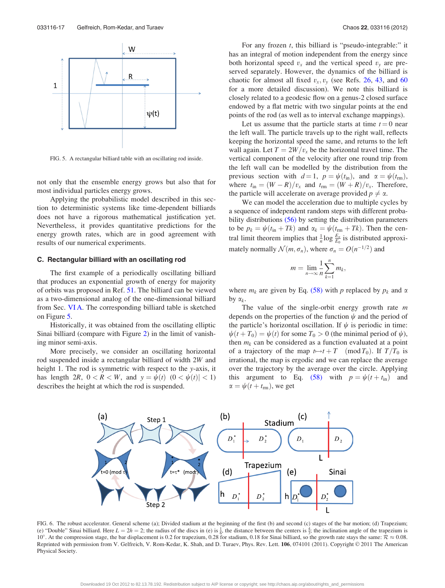

FIG. 5. A rectangular billiard table with an oscillating rod inside.

not only that the ensemble energy grows but also that for most individual particles energy grows.

Applying the probabilistic model described in this section to deterministic systems like time-dependent billiards does not have a rigorous mathematical justification yet. Nevertheless, it provides quantitative predictions for the energy growth rates, which are in good agreement with results of our numerical experiments.

# C. Rectangular billiard with an oscillating rod

The first example of a periodically oscillating billiard that produces an exponential growth of energy for majority of orbits was proposed in Ref. [51.](#page--1-0) The billiard can be viewed as a two-dimensional analog of the one-dimensional billiard from Sec. [VI A.](#page--1-0) The corresponding billiard table is sketched on Figure [5](#page--1-0).

Historically, it was obtained from the oscillating elliptic Sinai billiard (compare with Figure [2](#page--1-0)) in the limit of vanishing minor semi-axis.

More precisely, we consider an oscillating horizontal rod suspended inside a rectangular billiard of width 2W and height 1. The rod is symmetric with respect to the y-axis, it has length 2R,  $0 < R < W$ , and  $y = \psi(t)$   $(0 < \psi(t) < 1)$ describes the height at which the rod is suspended.

For any frozen  $t$ , this billiard is "pseudo-integrable:" it has an integral of motion independent from the energy since both horizontal speed  $v_x$  and the vertical speed  $v_y$  are preserved separately. However, the dynamics of the billiard is chaotic for almost all fixed  $v_x$ ,  $v_y$  (see Refs. [26](#page--1-0), [43](#page--1-0), and [60](#page--1-0) for a more detailed discussion). We note this billiard is closely related to a geodesic flow on a genus-2 closed surface endowed by a flat metric with two singular points at the end points of the rod (as well as to interval exchange mappings).

Let us assume that the particle starts at time  $t = 0$  near the left wall. The particle travels up to the right wall, reflects keeping the horizontal speed the same, and returns to the left wall again. Let  $T = 2W/v_x$  be the horizontal travel time. The vertical component of the velocity after one round trip from the left wall can be modelled by the distribution from the previous section with  $d = 1$ ,  $p = \psi(t_{\text{in}})$ , and  $\alpha = \psi(t_{\text{rm}})$ , where  $t_{\text{in}} = (W - R)/v_x$  and  $t_{\text{rm}} = (W + R)/v_x$ . Therefore, the particle will accelerate on average provided  $p \neq \alpha$ .

We can model the acceleration due to multiple cycles by a sequence of independent random steps with different probability distributions [\(56\)](#page--1-0) by setting the distribution parameters to be  $p_k = \psi(t_{\text{in}} + Tk)$  and  $\alpha_k = \psi(t_{\text{rm}} + Tk)$ . Then the central limit theorem implies that  $\frac{1}{n} \log \frac{E_n}{E_0}$  is distributed approximately normally  $\mathcal{N}(m, \sigma_n)$ , where  $\sigma_n = O(n^{-1/2})$  and

$$
m=\lim_{n\to\infty}\frac{1}{n}\sum_{k=1}^n m_k,
$$

where  $m_k$  are given by Eq. [\(58\)](#page--1-0) with p replaced by  $p_k$  and  $\alpha$ by  $\alpha_k$ .

The value of the single-orbit energy growth rate  $m$ depends on the properties of the function  $\psi$  and the period of the particle's horizontal oscillation. If  $\psi$  is periodic in time:  $\psi(t+T_0) = \psi(t)$  for some  $T_0 > 0$  (the minimal period of  $\psi$ ), then  $m_k$  can be considered as a function evaluated at a point of a trajectory of the map  $t \mapsto t + T \pmod{T_0}$ . If  $T/T_0$  is irrational, the map is ergodic and we can replace the average over the trajectory by the average over the circle. Applying this argument to Eq. [\(58\)](#page--1-0) with  $p = \psi(t + t_{\text{in}})$  and  $\alpha = \psi(t + t_{\rm rm})$ , we get



FIG. 6. The robust accelerator. General scheme (a); Divided stadium at the beginning of the first (b) and second (c) stages of the bar motion; (d) Trapezium; (e) "Double" Sinai billiard. Here  $L = 2h = 2$ ; the radius of the discs in (e) is  $\frac{1}{6}$ , the distance between the centers is  $\frac{4}{3}$ ; the inclination angle of the trapezium is 10°. At the compression stage, the bar displacement is 0.2 for trapezium, 0.28 for stadium, 0.18 for Sinai billiard, so the growth rate stays the same:  $\mathcal{R} \approx 0.08$ . Reprinted with permission from V. Gelfreich, V. Rom-Kedar, K. Shah, and D. Turaev, Phys. Rev. Lett. 106, 074101 (2011). Copyright © 2011 The American Physical Society.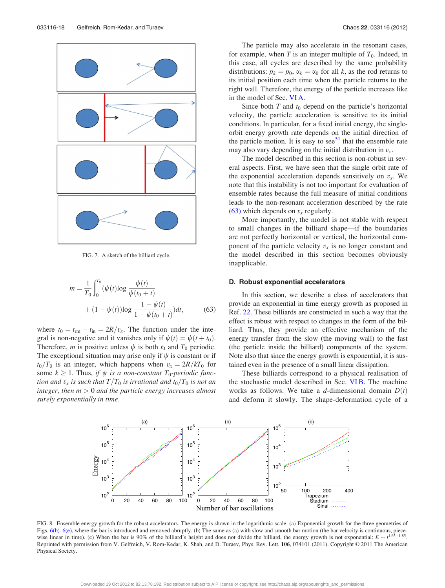

FIG. 7. A sketch of the billiard cycle.

$$
m = \frac{1}{T_0} \int_0^{T_0} (\psi(t) \log \frac{\psi(t)}{\psi(t_0 + t)} + (1 - \psi(t)) \log \frac{1 - \psi(t)}{1 - \psi(t_0 + t)}) dt,
$$
 (63)

where  $t_0 = t_{\rm rm} - t_{\rm in} = 2R/v_x$ . The function under the integral is non-negative and it vanishes only if  $\psi(t) = \psi(t+t_0)$ . Therefore, *m* is positive unless  $\psi$  is both  $t_0$  and  $T_0$  periodic. The exceptional situation may arise only if  $\psi$  is constant or if  $t_0/T_0$  is an integer, which happens when  $v_x = 2R/kT_0$  for some  $k \geq 1$ . Thus, if  $\psi$  is a non-constant T<sub>0</sub>-periodic function and  $v_x$  is such that  $T/T_0$  is irrational and  $t_0/T_0$  is not an integer, then  $m > 0$  and the particle energy increases almost surely exponentially in time.

The particle may also accelerate in the resonant cases, for example, when T is an integer multiple of  $T_0$ . Indeed, in this case, all cycles are described by the same probability distributions:  $p_k = p_0$ ,  $\alpha_k = \alpha_0$  for all k, as the rod returns to its initial position each time when the particle returns to the right wall. Therefore, the energy of the particle increases like in the model of Sec. [VI A](#page--1-0).

Since both  $T$  and  $t_0$  depend on the particle's horizontal velocity, the particle acceleration is sensitive to its initial conditions. In particular, for a fixed initial energy, the singleorbit energy growth rate depends on the initial direction of the particle motion. It is easy to see<sup>[51](#page--1-0)</sup> that the ensemble rate may also vary depending on the initial distribution in  $v<sub>x</sub>$ .

The model described in this section is non-robust in several aspects. First, we have seen that the single orbit rate of the exponential acceleration depends sensitively on  $v_x$ . We note that this instability is not too important for evaluation of ensemble rates because the full measure of initial conditions leads to the non-resonant acceleration described by the rate [\(63\)](#page--1-0) which depends on  $v_x$  regularly.

More importantly, the model is not stable with respect to small changes in the billiard shape—if the boundaries are not perfectly horizontal or vertical, the horizontal component of the particle velocity  $v_x$  is no longer constant and the model described in this section becomes obviously inapplicable.

#### D. Robust exponential accelerators

In this section, we describe a class of accelerators that provide an exponential in time energy growth as proposed in Ref. [22](#page--1-0). These billiards are constructed in such a way that the effect is robust with respect to changes in the form of the billiard. Thus, they provide an effective mechanism of the energy transfer from the slow (the moving wall) to the fast (the particle inside the billiard) components of the system. Note also that since the energy growth is exponential, it is sustained even in the presence of a small linear dissipation.

These billiards correspond to a physical realisation of the stochastic model described in Sec. [VI B](#page--1-0). The machine works as follows. We take a d-dimensional domain  $D(t)$ and deform it slowly. The shape-deformation cycle of a



FIG. 8. Ensemble energy growth for the robust accelerators. The energy is shown in the logarithmic scale. (a) Exponential growth for the three geometries of Figs.  $6(b)$ –6(e), where the bar is introduced and removed abruptly. (b) The same as (a) with slow and smooth bar motion (the bar velocity is continuous, piecewise linear in time). (c) When the bar is 90% of the billiard's height and does not divide the billiard, the energy growth is not exponential:  $E \sim t^{1.65 \div 1.85}$ . Reprinted with permission from V. Gelfreich, V. Rom-Kedar, K. Shah, and D. Turaev, Phys. Rev. Lett. 106, 074101 (2011). Copyright © 2011 The American Physical Society.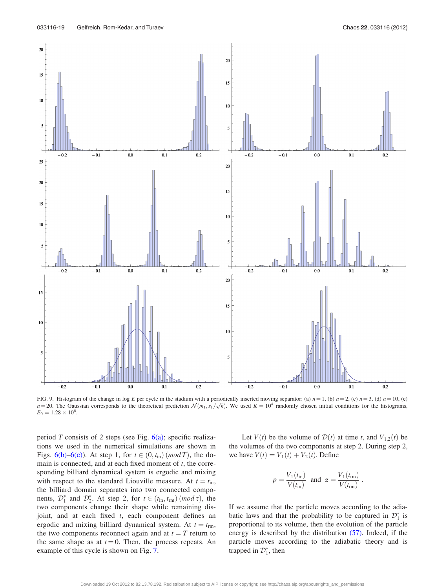

FIG. 9. Histogram of the change in log E per cycle in the stadium with a periodically inserted moving separator: (a)  $n = 1$ , (b)  $n = 2$ , (c)  $n = 3$ , (d)  $n = 10$ , (e) FIG. 9. This equilibrium of the change in log E per cycle in the stadium with a periodically inserted moving separator. (a)  $n = 1$ , (b)  $n = 2$ , (c)  $n = 5$ , (d)  $n = 10$ , (e)  $n = 20$ . The Gaussian corresponds to the theoret  $E_0 = 1.28 \times 10^6$ .

period T consists of 2 steps (see Fig.  $6(a)$ ; specific realizations we used in the numerical simulations are shown in Figs. [6\(b\)–6\(e\)\)](#page--1-0). At step 1, for  $t \in (0, t_{\text{in}})$  (mod T), the domain is connected, and at each fixed moment of  $t$ , the corresponding billiard dynamical system is ergodic and mixing with respect to the standard Liouville measure. At  $t = t_{\text{in}}$ , the billiard domain separates into two connected components,  $\mathcal{D}_1^*$  and  $\mathcal{D}_2^*$ . At step 2, for  $t \in (t_{\text{in}}, t_{\text{rm}})$  (*mod*  $\tau$ ), the two components change their shape while remaining disjoint, and at each fixed t, each component defines an ergodic and mixing billiard dynamical system. At  $t = t_{\rm rm}$ , the two components reconnect again and at  $t = T$  return to the same shape as at  $t = 0$ . Then, the process repeats. An example of this cycle is shown on Fig. [7](#page--1-0).

Let  $V(t)$  be the volume of  $\mathcal{D}(t)$  at time t, and  $V_{1,2}(t)$  be the volumes of the two components at step 2. During step 2, we have  $V(t) = V_1(t) + V_2(t)$ . Define

$$
p = \frac{V_1(t_{\rm in})}{V(t_{\rm in})} \text{ and } \alpha = \frac{V_1(t_{\rm rm})}{V(t_{\rm rm})}.
$$

If we assume that the particle moves according to the adiabatic laws and that the probability to be captured in  $\mathcal{D}_1^*$  is proportional to its volume, then the evolution of the particle energy is described by the distribution [\(57\).](#page--1-0) Indeed, if the particle moves according to the adiabatic theory and is trapped in  $\mathcal{D}_1^*$ , then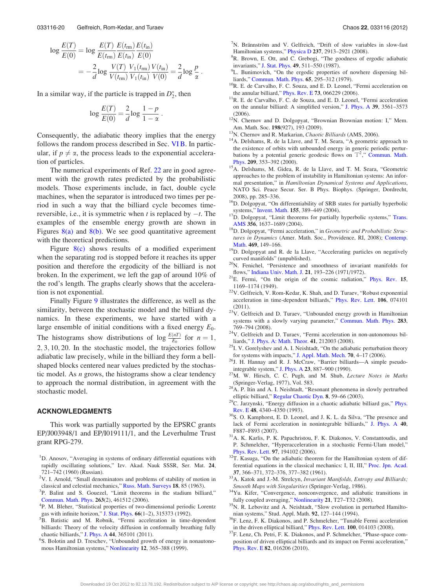$$
\log \frac{E(T)}{E(0)} = \log \frac{E(T)}{E(t_{\rm rm})} \frac{E(t_{\rm im})}{E(t_{\rm im})} \frac{E(t_{\rm in})}{E(0)} \n= -\frac{2}{d} \log \frac{V(T)}{V(t_{\rm rm})} \frac{V_1(t_{\rm im})}{V_1(t_{\rm in})} \frac{V(t_{\rm in})}{V(0)} = \frac{2}{d} \log \frac{p}{\alpha}.
$$

In a similar way, if the particle is trapped in  $D_2^*$ , then

$$
\log \frac{E(T)}{E(0)} = \frac{2}{d} \log \frac{1-p}{1-\alpha}.
$$

Consequently, the adiabatic theory implies that the energy follows the random process described in Sec. [VI B.](#page--1-0) In particular, if  $p \neq \alpha$ , the process leads to the exponential acceleration of particles.

The numerical experiments of Ref. [22](#page--1-0) are in good agreement with the growth rates predicted by the probabilistic models. Those experiments include, in fact, double cycle machines, when the separator is introduced two times per period in such a way that the billiard cycle becomes timereversible, i.e., it is symmetric when t is replaced by  $-t$ . The examples of the ensemble energy growth are shown in Figures  $8(a)$  and  $8(b)$ . We see good quantitative agreement with the theoretical predictions.

Figure [8\(c\)](#page--1-0) shows results of a modified experiment when the separating rod is stopped before it reaches its upper position and therefore the ergodicity of the billiard is not broken. In the experiment, we left the gap of around 10% of the rod's length. The graphs clearly shows that the acceleration is not exponential.

Finally Figure [9](#page--1-0) illustrates the difference, as well as the similarity, between the stochastic model and the billiard dynamics. In these experiments, we have started with a large ensemble of initial conditions with a fixed energy  $E_0$ . The histograms show distributions of  $\log \frac{E(nT)}{E_0}$  for  $n = 1$ , 2; 3; 10; 20. In the stochastic model, the trajectories follow adiabatic law precisely, while in the billiard they form a bellshaped blocks centered near values predicted by the stochastic model. As  $n$  grows, the histograms show a clear tendency to approach the normal distribution, in agreement with the stochastic model.

## ACKNOWLEDGMENTS

This work was partially supported by the EPSRC grants EP/J003948/1 and EP/I019111/1, and the Leverhulme Trust grant RPG-279.

- <sup>1</sup>D. Anosov, "Averaging in systems of ordinary differential equations with rapidly oscillating solutions," Izv. Akad. Nauk SSSR, Ser. Mat. 24, 721–742 (1960) (Russian).
- <sup>2</sup>V. I. Arnold, "Small denominators and problems of stability of motion in classical and celestial mechanics," [Russ. Math. Surveys](http://dx.doi.org/10.1070/RM1963v018n06ABEH001143) 18, 85 (1963).
- <sup>3</sup>P. Balint and S. Gouezel, "Limit theorems in the stadium billiard," [Commun. Math. Phys.](http://dx.doi.org/10.1007/s00220-005-1511-6) 263(2), 461512 (2006).
- <sup>4</sup>P. M. Bleher, "Statistical properties of two-dimensional periodic Lorentz gas with infinite horizon," [J. Stat. Phys.](http://dx.doi.org/10.1007/BF01060071) 66(1-2), 315373 (1992).
- <sup>5</sup>B. Batistic and M. Robnik, "Fermi acceleration in time-dependent billiards: Theory of the velocity diffusion in conformally breathing fully chaotic billiards," [J. Phys. A](http://dx.doi.org/10.1088/1751-8113/44/36/365101) 44, 365101 (2011).
- S. Bolotin and D. Treschev, "Unbounded growth of energy in nonautono-mous Hamiltonian systems," [Nonlinearity](http://dx.doi.org/10.1088/0951-7715/12/2/013) 12, 365–388 (1999).
- <sup>7</sup>N. Brännström and V. Gelfreich, "Drift of slow variables in slow-fast Hamiltonian systems," [Physica D](http://dx.doi.org/10.1016/j.physd.2008.05.001) 237, 2913-2921 (2008).
	- <sup>8</sup>R. Brown, E. Ott, and C. Grebogi, "The goodness of ergodic adiabatic invariants," [J. Stat. Phys.](http://dx.doi.org/10.1007/BF01009347) 49, 511-550 (1987).
- <sup>9</sup>L. Bunimovich, "On the ergodic properties of nowhere dispersing bil-
- liards," [Commun. Math. Phys.](http://dx.doi.org/10.1007/BF01197884) **65**, 295–312 (1979). <sup>10</sup>R. E. de Carvalho, F. C. Souza, and E. D. Leonel, "Fermi acceleration on the annular billiard," [Phys. Rev. E](http://dx.doi.org/10.1103/PhysRevE.73.066229) 73, 066229 (2006).  $11R$ , E. de Carvalho, F. C. de Souza, and E. D. Leonel, "Fermi acceleration
- on the annular billiard: A simplified version," [J. Phys. A](http://dx.doi.org/10.1088/0305-4470/39/14/005) 39, 3561–3573
- (2006).<br><sup>12</sup>N. Chernov and D. Dolgopyat, "Brownian Brownian motion: I," Mem. Am. Math. Soc. 198(927), 193 (2009).<br><sup>13</sup>N. Chernov and R. Markarian, *Chaotic Billiards* (AMS, 2006).<br><sup>14</sup>A. Delshams, R. de la Llave, and T. M. Seara, "A geometric approach to
- 
- the existence of orbits with unbounded energy in generic periodic perturbations by a potential generic geodesic flows on  $\mathbb{T}^2$ ," [Commun. Math.](http://dx.doi.org/10.1007/s002200050024)
- [Phys.](http://dx.doi.org/10.1007/s002200050024)  $209$ ,  $353-392$  (2000).<br><sup>15</sup>A. Delshams, M. Gidea, R. de la Llave, and T. M. Seara, "Geometric approaches to the problem of instability in Hamiltonian systems: An informal presentation," in Hamiltonian Dynamical Systems and Applications, NATO Sci. Peace Secur. Ser. B Phys. Biophys. (Springer, Dordrecht,
- 2008), pp. 285–336.<br><sup>16</sup>D. Dolgopyat, "On differentiability of SRB states for partially hyperbolic
- systems," [Invent. Math.](http://dx.doi.org/10.1007/s00222-003-0324-5) 155, 389–449 (2004). <sup>17</sup>D. Dolgopyat, "Limit theorems for partially hyperbolic systems," [Trans.](http://dx.doi.org/10.1090/S0002-9947-03-03335-X)
- [AMS](http://dx.doi.org/10.1090/S0002-9947-03-03335-X) 356, 1637–1689 (2004).<br><sup>18</sup>D. Dolgopyat, "Fermi acceleration," in *Geometric and Probabilistic Struc*tures in Dynamics (Amer. Math. Soc., Providence, RI, 2008); [Contemp.](http://dx.doi.org/10.1090/conm/469/09165)
- [Math.](http://dx.doi.org/10.1090/conm/469/09165) 469, 149–166.<br><sup>19</sup>D. Dolgopyat and R. de la Llave, "Accelerating particles on negatively curved manifolds" (unpublished).  $^{20}$ N. Fenichel, "Persistence and smoothness of invariant manifolds for
- 
- flows," [Indiana Univ. Math. J.](http://dx.doi.org/10.1512/iumj.1971.21.21017) 21, 193–226 (1971/1972). <sup>21</sup>E. Fermi, "On the origin of the cosmic radiation," [Phys. Rev.](http://dx.doi.org/10.1103/PhysRev.75.1169) 15,
- 1169–1174 (1949).  $22V$ . Gelfreich, V. Rom-Kedar, K. Shah, and D. Turaev, "Robust exponential acceleration in time-dependent billiards," [Phys. Rev. Lett.](http://dx.doi.org/10.1103/PhysRevLett.106.074101) 106, 074101
- (2011). <sup>23</sup>V. Gelfreich and D. Turaev, "Unbounded energy growth in Hamiltonian systems with a slowly varying parameter," [Commun. Math. Phys.](http://dx.doi.org/10.1007/s00220-008-0518-1) 283, 769-794 (2008).
- $24V$ . Gelfreich and D. Turaev, "Fermi acceleration in non-autonomous bil-
- liards," [J. Phys. A: Math. Theor.](http://dx.doi.org/10.1088/1751-8113/41/21/212003) 41, 212003 (2008). <sup>25</sup>I. V. Gorelyshev and A. I. Neishtadt, "On the adiabatic perturbation theory
- for systems with impacts," [J. Appl. Math. Mech.](http://dx.doi.org/10.1016/j.jappmathmech.2006.03.015) 70, 4–17 (2006). <sup>26</sup>J. H. Hannay and R. J. McCraw, "Barrier billiards—A simple pseudo-
- integrable system," [J. Phys. A](http://dx.doi.org/10.1088/0305-4470/23/6/014) 23, 887–900 (1990).  $27$ M. W. Hirsch, C. C. Pugh, and M. Shub, *Lecture Notes in Maths*
- (Springer-Verlag, 1977), Vol. 583. 28A. P. Itin and A. I. Neishtadt, "Resonant phenomena in slowly pertrurbed
- elliptic billiard," [Regular Chaotic Dyn.](http://dx.doi.org/10.1070/RD2003v008n01ABEH000225) 8, 59–66 (2003).<br><sup>29</sup>C. Jarzynski, "Energy diffusion in a chaotic adiabatic billiard gas," [Phys.](http://dx.doi.org/10.1103/PhysRevE.48.4340)<br>Rev. E **48**, 4340–4350 (1993).
- <sup>30</sup>S. O. Kamphorst, E. D. Leonel, and J. K. L. da Silva, "The presence and lack of Fermi acceleration in nonintegrable billiards," [J. Phys. A](http://dx.doi.org/10.1088/1751-8113/40/37/F02) 40,
- F887–F893 (2007). 31A. K. Karlis, P. K. Papachristou, F. K. Diakonos, V. Constantoudis, and P. Schmelcher, "Hyperacceleration in a stochastic Fermi-Ulam model,"
- [Phys. Rev. Lett.](http://dx.doi.org/10.1103/PhysRevLett.97.194102) <sup>97</sup>, 194102 (2006). 32T. Kasuga, "On the adiabatic theorem for the Hamiltonian system of differential equations in the classical mechanics: I, II, III," [Proc. Jpn. Acad.](http://dx.doi.org/10.3792/pja/1195577651)
- 37, 366–371, 372–376, 377–382 (1961).<br><sup>33</sup>A. Katok and J.-M. Strelcyn, *Invariant Manifolds, Entropy and Billiards*;
- Smooth Maps with Singularities (Springer-Verlag, 1986).  $34$ Yu. Kifer, "Convergence, nonconvergence, and adiabatic transitions in fully coupled averaging," Nonlinearity 21, T27–T32 (2008).
- $^{35}$ N. R. Lebovitz and A. Neishtadt, "Slow evolution in perturbed Hamiltonian systems," Stud. Appl. Math. 92, 127–144 (1994).
- $^{36}$ F. Lenz, F. K. Diakonos, and P. Schmelcher, "Tunable Fermi acceleration in the driven elliptical billiard," Phys. Rev. Lett. 100, 014103 (2008).
- <sup>37</sup>F. Lenz, Ch. Petri, F. K. Diakonos, and P. Schmelcher, "Phase-space composition of driven elliptical billiards and its impact on Fermi acceleration," [Phys. Rev. E](http://dx.doi.org/10.1103/PhysRevE.82.016206) 82, 016206 (2010).